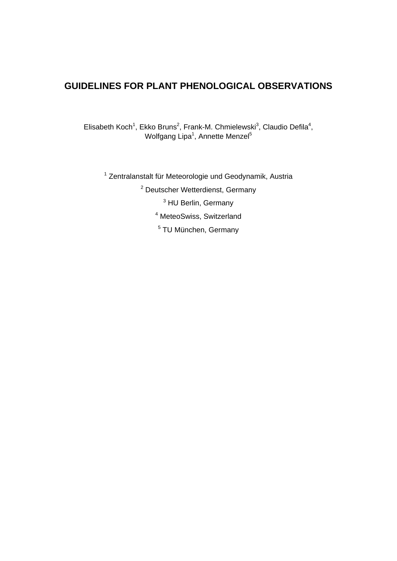# **GUIDELINES FOR PLANT PHENOLOGICAL OBSERVATIONS**

Elisabeth Koch<sup>1</sup>, Ekko Bruns<sup>2</sup>, Frank-M. Chmielewski<sup>3</sup>, Claudio Defila<sup>4</sup>, Wolfgang Lipa<sup>1</sup>, Annette Menzel<sup>5</sup>

<sup>1</sup> Zentralanstalt für Meteorologie und Geodynamik, Austria

<sup>2</sup> Deutscher Wetterdienst, Germany

<sup>3</sup> HU Berlin, Germany

4 MeteoSwiss, Switzerland

5 TU München, Germany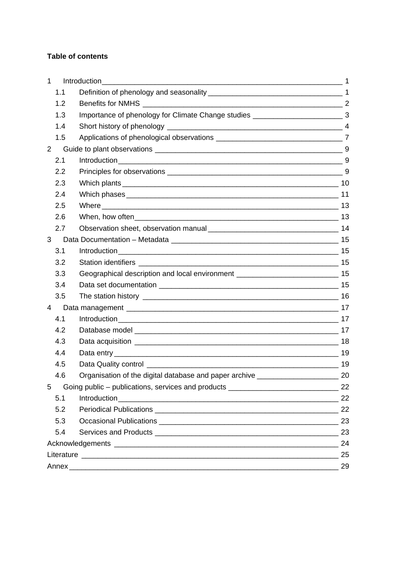## **Table of contents**

| 1   | Introduction                                                                        |    |
|-----|-------------------------------------------------------------------------------------|----|
| 1.1 |                                                                                     |    |
| 1.2 |                                                                                     |    |
| 1.3 | Importance of phenology for Climate Change studies ______________________________ 3 |    |
| 1.4 |                                                                                     |    |
| 1.5 |                                                                                     |    |
| 2   |                                                                                     |    |
| 2.1 |                                                                                     |    |
| 2.2 |                                                                                     |    |
| 2.3 |                                                                                     |    |
| 2.4 |                                                                                     |    |
| 2.5 |                                                                                     |    |
| 2.6 |                                                                                     |    |
| 2.7 |                                                                                     |    |
| 3   |                                                                                     |    |
| 3.1 |                                                                                     |    |
| 3.2 |                                                                                     |    |
| 3.3 | Geographical description and local environment _________________________________ 15 |    |
| 3.4 |                                                                                     |    |
| 3.5 |                                                                                     |    |
| 4   |                                                                                     |    |
| 4.1 |                                                                                     |    |
| 4.2 |                                                                                     |    |
| 4.3 |                                                                                     |    |
| 4.4 |                                                                                     |    |
| 4.5 |                                                                                     | 19 |
| 4.6 | Organisation of the digital database and paper archive _________________________ 20 |    |
| 5   |                                                                                     |    |
| 5.1 |                                                                                     |    |
| 5.2 |                                                                                     |    |
| 5.3 |                                                                                     |    |
| 5.4 |                                                                                     | 23 |
|     |                                                                                     | 24 |
|     |                                                                                     |    |
|     |                                                                                     | 29 |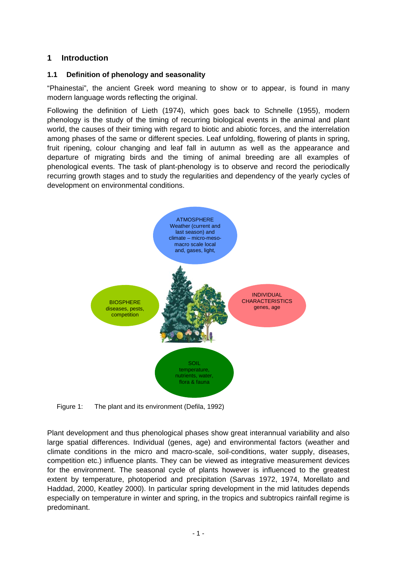## **1 Introduction**

## **1.1 Definition of phenology and seasonality**

"Phainestai", the ancient Greek word meaning to show or to appear, is found in many modern language words reflecting the original.

Following the definition of Lieth (1974), which goes back to Schnelle (1955), modern phenology is the study of the timing of recurring biological events in the animal and plant world, the causes of their timing with regard to biotic and abiotic forces, and the interrelation among phases of the same or different species. Leaf unfolding, flowering of plants in spring, fruit ripening, colour changing and leaf fall in autumn as well as the appearance and departure of migrating birds and the timing of animal breeding are all examples of phenological events. The task of plant-phenology is to observe and record the periodically recurring growth stages and to study the regularities and dependency of the yearly cycles of development on environmental conditions.



Figure 1: The plant and its environment (Defila, 1992)

Plant development and thus phenological phases show great interannual variability and also large spatial differences. Individual (genes, age) and environmental factors (weather and climate conditions in the micro and macro-scale, soil-conditions, water supply, diseases, competition etc.) influence plants. They can be viewed as integrative measurement devices for the environment. The seasonal cycle of plants however is influenced to the greatest extent by temperature, photoperiod and precipitation (Sarvas 1972, 1974, Morellato and Haddad, 2000, Keatley 2000). In particular spring development in the mid latitudes depends especially on temperature in winter and spring, in the tropics and subtropics rainfall regime is predominant.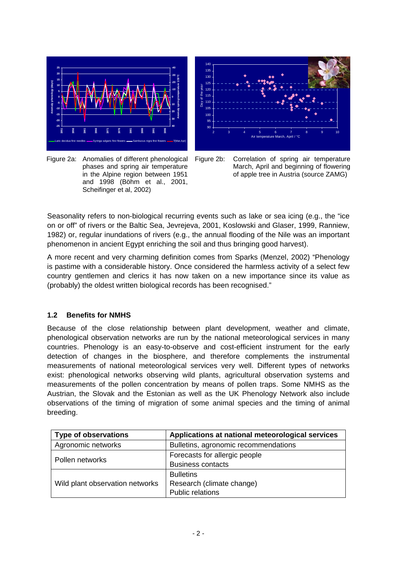

Figure 2a: Anomalies of different phenological phases and spring air temperature in the Alpine region between 1951 and 1998 (Böhm et al., 2001, Scheifinger et al, 2002)





Seasonality refers to non-biological recurring events such as lake or sea icing (e.g., the "ice on or off" of rivers or the Baltic Sea, Jevrejeva, 2001, Koslowski and Glaser, 1999, Ranniew, 1982) or, regular inundations of rivers (e.g., the annual flooding of the Nile was an important phenomenon in ancient Egypt enriching the soil and thus bringing good harvest).

A more recent and very charming definition comes from Sparks (Menzel, 2002) "Phenology is pastime with a considerable history. Once considered the harmless activity of a select few country gentlemen and clerics it has now taken on a new importance since its value as (probably) the oldest written biological records has been recognised."

## **1.2 Benefits for NMHS**

Because of the close relationship between plant development, weather and climate, phenological observation networks are run by the national meteorological services in many countries. Phenology is an easy-to-observe and cost-efficient instrument for the early detection of changes in the biosphere, and therefore complements the instrumental measurements of national meteorological services very well. Different types of networks exist: phenological networks observing wild plants, agricultural observation systems and measurements of the pollen concentration by means of pollen traps. Some NMHS as the Austrian, the Slovak and the Estonian as well as the UK Phenology Network also include observations of the timing of migration of some animal species and the timing of animal breeding.

| <b>Type of observations</b>     | Applications at national meteorological services |  |  |
|---------------------------------|--------------------------------------------------|--|--|
| Agronomic networks              | Bulletins, agronomic recommendations             |  |  |
| Pollen networks                 | Forecasts for allergic people                    |  |  |
|                                 | <b>Business contacts</b>                         |  |  |
|                                 | <b>Bulletins</b>                                 |  |  |
| Wild plant observation networks | Research (climate change)                        |  |  |
|                                 | <b>Public relations</b>                          |  |  |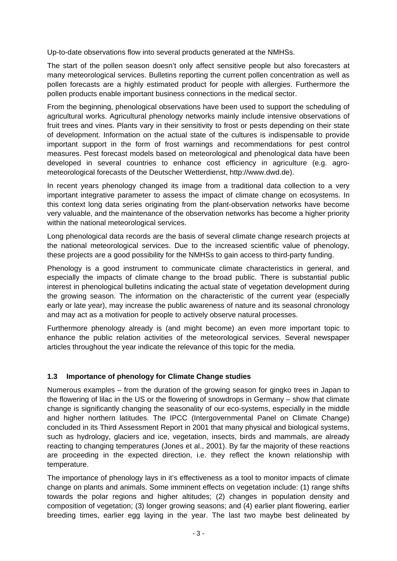Up-to-date observations flow into several products generated at the NMHSs.

The start of the pollen season doesn't only affect sensitive people but also forecasters at many meteorological services. Bulletins reporting the current pollen concentration as well as pollen forecasts are a highly estimated product for people with allergies. Furthermore the pollen products enable important business connections in the medical sector.

From the beginning, phenological observations have been used to support the scheduling of agricultural works. Agricultural phenology networks mainly include intensive observations of fruit trees and vines. Plants vary in their sensitivity to frost or pests depending on their state of development. Information on the actual state of the cultures is indispensable to provide important support in the form of frost warnings and recommendations for pest control measures. Pest forecast models based on meteorological and phenological data have been developed in several countries to enhance cost efficiency in agriculture (e.g. agrometeorological forecasts of the Deutscher Wetterdienst, http://www.dwd.de).

In recent years phenology changed its image from a traditional data collection to a very important integrative parameter to assess the impact of climate change on ecosystems. In this context long data series originating from the plant-observation networks have become very valuable, and the maintenance of the observation networks has become a higher priority within the national meteorological services.

Long phenological data records are the basis of several climate change research projects at the national meteorological services. Due to the increased scientific value of phenology, these projects are a good possibility for the NMHSs to gain access to third-party funding.

Phenology is a good instrument to communicate climate characteristics in general, and especially the impacts of climate change to the broad public. There is substantial public interest in phenological bulletins indicating the actual state of vegetation development during the growing season. The information on the characteristic of the current year (especially early or late year), may increase the public awareness of nature and its seasonal chronology and may act as a motivation for people to actively observe natural processes.

Furthermore phenology already is (and might become) an even more important topic to enhance the public relation activities of the meteorological services. Several newspaper articles throughout the year indicate the relevance of this topic for the media.

## **1.3 Importance of phenology for Climate Change studies**

Numerous examples – from the duration of the growing season for gingko trees in Japan to the flowering of lilac in the US or the flowering of snowdrops in Germany – show that climate change is significantly changing the seasonality of our eco-systems, especially in the middle and higher northern latitudes. The IPCC (Intergovernmental Panel on Climate Change) concluded in its Third Assessment Report in 2001 that many physical and biological systems, such as hydrology, glaciers and ice, vegetation, insects, birds and mammals, are already reacting to changing temperatures (Jones et al., 2001). By far the majority of these reactions are proceeding in the expected direction, i.e. they reflect the known relationship with temperature.

The importance of phenology lays in it's effectiveness as a tool to monitor impacts of climate change on plants and animals. Some imminent effects on vegetation include: (1) range shifts towards the polar regions and higher altitudes; (2) changes in population density and composition of vegetation; (3) longer growing seasons; and (4) earlier plant flowering, earlier breeding times, earlier egg laying in the year. The last two maybe best delineated by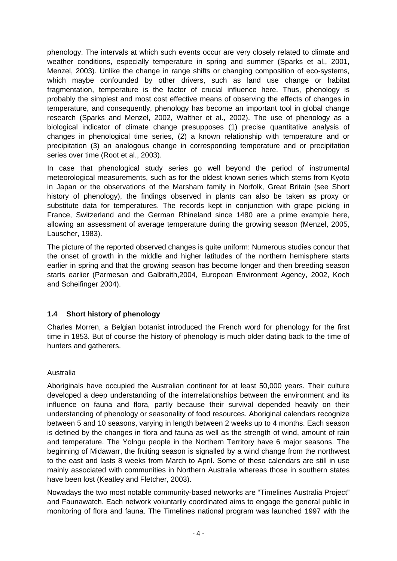phenology. The intervals at which such events occur are very closely related to climate and weather conditions, especially temperature in spring and summer (Sparks et al., 2001, Menzel, 2003). Unlike the change in range shifts or changing composition of eco-systems, which maybe confounded by other drivers, such as land use change or habitat fragmentation, temperature is the factor of crucial influence here. Thus, phenology is probably the simplest and most cost effective means of observing the effects of changes in temperature, and consequently, phenology has become an important tool in global change research (Sparks and Menzel, 2002, Walther et al., 2002). The use of phenology as a biological indicator of climate change presupposes (1) precise quantitative analysis of changes in phenological time series, (2) a known relationship with temperature and or precipitation (3) an analogous change in corresponding temperature and or precipitation series over time (Root et al., 2003).

In case that phenological study series go well beyond the period of instrumental meteorological measurements, such as for the oldest known series which stems from Kyoto in Japan or the observations of the Marsham family in Norfolk, Great Britain (see Short history of phenology), the findings observed in plants can also be taken as proxy or substitute data for temperatures. The records kept in conjunction with grape picking in France, Switzerland and the German Rhineland since 1480 are a prime example here, allowing an assessment of average temperature during the growing season (Menzel, 2005, Lauscher, 1983).

The picture of the reported observed changes is quite uniform: Numerous studies concur that the onset of growth in the middle and higher latitudes of the northern hemisphere starts earlier in spring and that the growing season has become longer and then breeding season starts earlier (Parmesan and Galbraith,2004, European Environment Agency, 2002, Koch and Scheifinger 2004).

## **1.4 Short history of phenology**

Charles Morren, a Belgian botanist introduced the French word for phenology for the first time in 1853. But of course the history of phenology is much older dating back to the time of hunters and gatherers.

## Australia

Aboriginals have occupied the Australian continent for at least 50,000 years. Their culture developed a deep understanding of the interrelationships between the environment and its influence on fauna and flora, partly because their survival depended heavily on their understanding of phenology or seasonality of food resources. Aboriginal calendars recognize between 5 and 10 seasons, varying in length between 2 weeks up to 4 months. Each season is defined by the changes in flora and fauna as well as the strength of wind, amount of rain and temperature. The Yolngu people in the Northern Territory have 6 major seasons. The beginning of Midawarr, the fruiting season is signalled by a wind change from the northwest to the east and lasts 8 weeks from March to April. Some of these calendars are still in use mainly associated with communities in Northern Australia whereas those in southern states have been lost (Keatley and Fletcher, 2003).

Nowadays the two most notable community-based networks are "Timelines Australia Project" and Faunawatch. Each network voluntarily coordinated aims to engage the general public in monitoring of flora and fauna. The Timelines national program was launched 1997 with the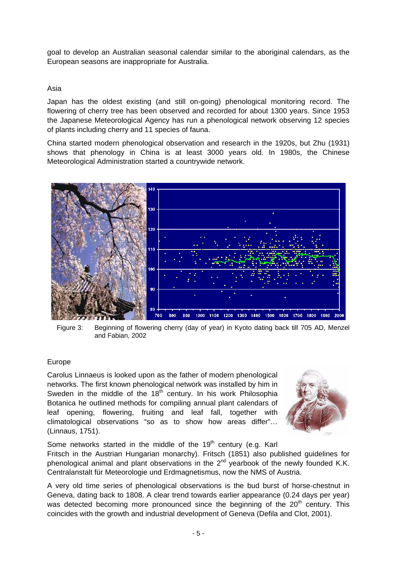goal to develop an Australian seasonal calendar similar to the aboriginal calendars, as the European seasons are inappropriate for Australia.

### Asia

Japan has the oldest existing (and still on-going) phenological monitoring record. The flowering of cherry tree has been observed and recorded for about 1300 years. Since 1953 the Japanese Meteorological Agency has run a phenological network observing 12 species of plants including cherry and 11 species of fauna.

China started modern phenological observation and research in the 1920s, but Zhu (1931) shows that phenology in China is at least 3000 years old. In 1980s, the Chinese Meteorological Administration started a countrywide network.



Figure 3: Beginning of flowering cherry (day of year) in Kyoto dating back till 705 AD, Menzel and Fabian, 2002

## Europe

Carolus Linnaeus is looked upon as the father of modern phenological networks. The first known phenological network was installed by him in Sweden in the middle of the  $18<sup>th</sup>$  century. In his work Philosophia Botanica he outlined methods for compiling annual plant calendars of leaf opening, flowering, fruiting and leaf fall, together with climatological observations "so as to show how areas differ"… (Linnaus, 1751).



Some networks started in the middle of the  $19<sup>th</sup>$  century (e.g. Karl Fritsch in the Austrian Hungarian monarchy). Fritsch (1851) also published guidelines for phenological animal and plant observations in the  $2<sup>nd</sup>$  yearbook of the newly founded K.K. Centralanstalt für Meteorologie und Erdmagnetismus, now the NMS of Austria.

A very old time series of phenological observations is the bud burst of horse-chestnut in Geneva, dating back to 1808. A clear trend towards earlier appearance (0.24 days per year) was detected becoming more pronounced since the beginning of the  $20<sup>th</sup>$  century. This coincides with the growth and industrial development of Geneva (Defila and Clot, 2001).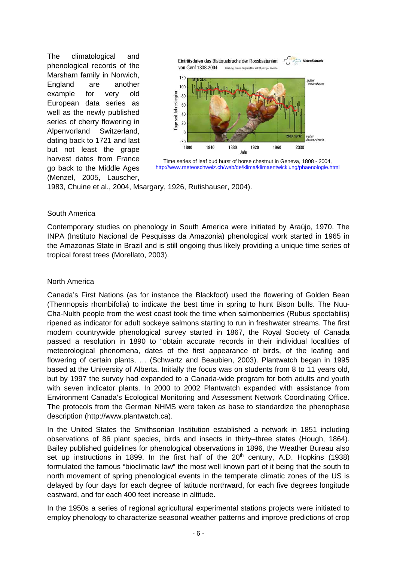The climatological and phenological records of the Marsham family in Norwich, England are another example for very old European data series as well as the newly published series of cherry flowering in Alpenvorland Switzerland, dating back to 1721 and last but not least the grape harvest dates from France go back to the Middle Ages (Menzel, 2005, Lauscher,



Time series of leaf bud burst of horse chestnut in Geneva, 1808 - 2004, http://www.meteoschweiz.ch/web/de/klima/klimaentwicklung/phaenologie.html

1983, Chuine et al., 2004, Msargary, 1926, Rutishauser, 2004).

#### South America

Contemporary studies on phenology in South America were initiated by Araújo, 1970. The INPA (Instituto Nacional de Pesquisas da Amazonia) phenological work started in 1965 in the Amazonas State in Brazil and is still ongoing thus likely providing a unique time series of tropical forest trees (Morellato, 2003).

### North America

Canada's First Nations (as for instance the Blackfoot) used the flowering of Golden Bean (Thermopsis rhombifolia) to indicate the best time in spring to hunt Bison bulls. The Nuu-Cha-Nulth people from the west coast took the time when salmonberries (Rubus spectabilis) ripened as indicator for adult sockeye salmons starting to run in freshwater streams. The first modern countrywide phenological survey started in 1867, the Royal Society of Canada passed a resolution in 1890 to "obtain accurate records in their individual localities of meteorological phenomena, dates of the first appearance of birds, of the leafing and flowering of certain plants, … (Schwartz and Beaubien, 2003). Plantwatch began in 1995 based at the University of Alberta. Initially the focus was on students from 8 to 11 years old, but by 1997 the survey had expanded to a Canada-wide program for both adults and youth with seven indicator plants. In 2000 to 2002 Plantwatch expanded with assistance from Environment Canada's Ecological Monitoring and Assessment Network Coordinating Office. The protocols from the German NHMS were taken as base to standardize the phenophase description (http://www.plantwatch.ca).

In the United States the Smithsonian Institution established a network in 1851 including observations of 86 plant species, birds and insects in thirty–three states (Hough, 1864). Bailey published guidelines for phenological observations in 1896, the Weather Bureau also set up instructions in 1899. In the first half of the  $20<sup>th</sup>$  century, A.D. Hopkins (1938) formulated the famous "bioclimatic law" the most well known part of it being that the south to north movement of spring phenological events in the temperate climatic zones of the US is delayed by four days for each degree of latitude northward, for each five degrees longitude eastward, and for each 400 feet increase in altitude.

In the 1950s a series of regional agricultural experimental stations projects were initiated to employ phenology to characterize seasonal weather patterns and improve predictions of crop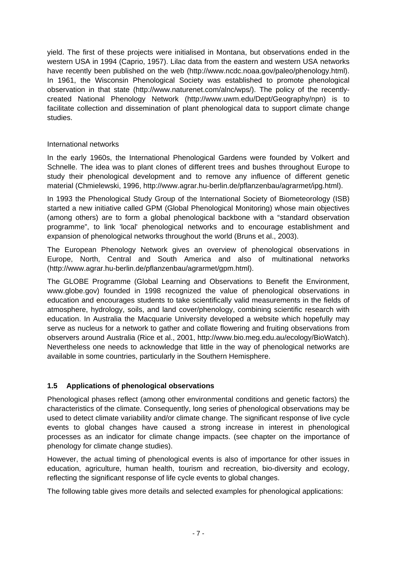yield. The first of these projects were initialised in Montana, but observations ended in the western USA in 1994 (Caprio, 1957). Lilac data from the eastern and western USA networks have recently been published on the web (http://www.ncdc.noaa.gov/paleo/phenology.html). In 1961, the Wisconsin Phenological Society was established to promote phenological observation in that state (http://www.naturenet.com/alnc/wps/). The policy of the recentlycreated National Phenology Network (http://www.uwm.edu/Dept/Geography/npn) is to facilitate collection and dissemination of plant phenological data to support climate change studies.

## International networks

In the early 1960s, the International Phenological Gardens were founded by Volkert and Schnelle. The idea was to plant clones of different trees and bushes throughout Europe to study their phenological development and to remove any influence of different genetic material (Chmielewski, 1996, http://www.agrar.hu-berlin.de/pflanzenbau/agrarmet/ipg.html).

In 1993 the Phenological Study Group of the International Society of Biometeorology (ISB) started a new initiative called GPM (Global Phenological Monitoring) whose main objectives (among others) are to form a global phenological backbone with a "standard observation programme", to link 'local' phenological networks and to encourage establishment and expansion of phenological networks throughout the world (Bruns et al., 2003).

The European Phenology Network gives an overview of phenological observations in Europe, North, Central and South America and also of multinational networks (http://www.agrar.hu-berlin.de/pflanzenbau/agrarmet/gpm.html).

The GLOBE Programme (Global Learning and Observations to Benefit the Environment, www.globe.gov) founded in 1998 recognized the value of phenological observations in education and encourages students to take scientifically valid measurements in the fields of atmosphere, hydrology, soils, and land cover/phenology, combining scientific research with education. In Australia the Macquarie University developed a website which hopefully may serve as nucleus for a network to gather and collate flowering and fruiting observations from observers around Australia (Rice et al., 2001, http://www.bio.meg.edu.au/ecology/BioWatch). Nevertheless one needs to acknowledge that little in the way of phenological networks are available in some countries, particularly in the Southern Hemisphere.

## **1.5 Applications of phenological observations**

Phenological phases reflect (among other environmental conditions and genetic factors) the characteristics of the climate. Consequently, long series of phenological observations may be used to detect climate variability and/or climate change. The significant response of live cycle events to global changes have caused a strong increase in interest in phenological processes as an indicator for climate change impacts. (see chapter on the importance of phenology for climate change studies).

However, the actual timing of phenological events is also of importance for other issues in education, agriculture, human health, tourism and recreation, bio-diversity and ecology, reflecting the significant response of life cycle events to global changes.

The following table gives more details and selected examples for phenological applications: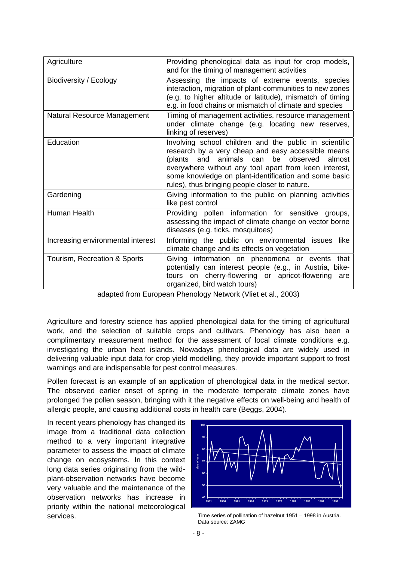| Agriculture                       | Providing phenological data as input for crop models,<br>and for the timing of management activities                                                                                                                                                                                                                                 |
|-----------------------------------|--------------------------------------------------------------------------------------------------------------------------------------------------------------------------------------------------------------------------------------------------------------------------------------------------------------------------------------|
| Biodiversity / Ecology            | Assessing the impacts of extreme events, species<br>interaction, migration of plant-communities to new zones<br>(e.g. to higher altitude or latitude), mismatch of timing<br>e.g. in food chains or mismatch of climate and species                                                                                                  |
| Natural Resource Management       | Timing of management activities, resource management<br>under climate change (e.g. locating new reserves,<br>linking of reserves)                                                                                                                                                                                                    |
| Education                         | Involving school children and the public in scientific<br>research by a very cheap and easy accessible means<br>(plants and animals can<br>be observed<br>almost<br>everywhere without any tool apart from keen interest,<br>some knowledge on plant-identification and some basic<br>rules), thus bringing people closer to nature. |
| Gardening                         | Giving information to the public on planning activities<br>like pest control                                                                                                                                                                                                                                                         |
| Human Health                      | Providing pollen information for sensitive groups,<br>assessing the impact of climate change on vector borne<br>diseases (e.g. ticks, mosquitoes)                                                                                                                                                                                    |
| Increasing environmental interest | Informing the public on environmental issues<br>like<br>climate change and its effects on vegetation                                                                                                                                                                                                                                 |
| Tourism, Recreation & Sports      | Giving information on phenomena or events<br>that<br>potentially can interest people (e.g., in Austria, bike-<br>tours on cherry-flowering or apricot-flowering<br>are<br>organized, bird watch tours)                                                                                                                               |

adapted from European Phenology Network (Vliet et al., 2003)

Agriculture and forestry science has applied phenological data for the timing of agricultural work, and the selection of suitable crops and cultivars. Phenology has also been a complimentary measurement method for the assessment of local climate conditions e.g. investigating the urban heat islands. Nowadays phenological data are widely used in delivering valuable input data for crop yield modelling, they provide important support to frost warnings and are indispensable for pest control measures.

Pollen forecast is an example of an application of phenological data in the medical sector. The observed earlier onset of spring in the moderate temperate climate zones have prolonged the pollen season, bringing with it the negative effects on well-being and health of allergic people, and causing additional costs in health care (Beggs, 2004).

In recent years phenology has changed its image from a traditional data collection method to a very important integrative parameter to assess the impact of climate change on ecosystems. In this context long data series originating from the wildplant-observation networks have become very valuable and the maintenance of the observation networks has increase in priority within the national meteorological services.



Time series of pollination of hazelnut 1951 – 1998 in Austria. Data source: ZAMG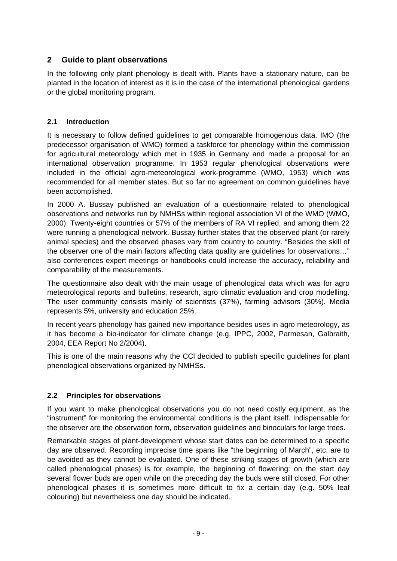## **2 Guide to plant observations**

In the following only plant phenology is dealt with. Plants have a stationary nature, can be planted in the location of interest as it is in the case of the international phenological gardens or the global monitoring program.

## **2.1 Introduction**

It is necessary to follow defined guidelines to get comparable homogenous data. IMO (the predecessor organisation of WMO) formed a taskforce for phenology within the commission for agricultural meteorology which met in 1935 in Germany and made a proposal for an international observation programme. In 1953 regular phenological observations were included in the official agro-meteorological work-programme (WMO, 1953) which was recommended for all member states. But so far no agreement on common guidelines have been accomplished.

In 2000 A. Bussay published an evaluation of a questionnaire related to phenological observations and networks run by NMHSs within regional association VI of the WMO (WMO, 2000). Twenty-eight countries or 57% of the members of RA VI replied, and among them 22 were running a phenological network. Bussay further states that the observed plant (or rarely animal species) and the observed phases vary from country to country. "Besides the skill of the observer one of the main factors affecting data quality are guidelines for observations…" also conferences expert meetings or handbooks could increase the accuracy, reliability and comparability of the measurements.

The questionnaire also dealt with the main usage of phenological data which was for agro meteorological reports and bulletins, research, agro climatic evaluation and crop modelling. The user community consists mainly of scientists (37%), farming advisors (30%). Media represents 5%, university and education 25%.

In recent years phenology has gained new importance besides uses in agro meteorology, as it has become a bio-indicator for climate change (e.g. IPPC, 2002, Parmesan, Galbraith, 2004, EEA Report No 2/2004).

This is one of the main reasons why the CCl decided to publish specific guidelines for plant phenological observations organized by NMHSs.

## **2.2 Principles for observations**

If you want to make phenological observations you do not need costly equipment, as the "instrument" for monitoring the environmental conditions is the plant itself. Indispensable for the observer are the observation form, observation guidelines and binoculars for large trees.

Remarkable stages of plant-development whose start dates can be determined to a specific day are observed. Recording imprecise time spans like "the beginning of March", etc. are to be avoided as they cannot be evaluated. One of these striking stages of growth (which are called phenological phases) is for example, the beginning of flowering: on the start day several flower buds are open while on the preceding day the buds were still closed. For other phenological phases it is sometimes more difficult to fix a certain day (e.g. 50% leaf colouring) but nevertheless one day should be indicated.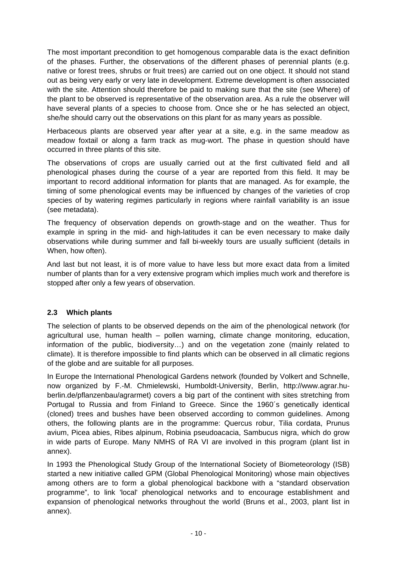The most important precondition to get homogenous comparable data is the exact definition of the phases. Further, the observations of the different phases of perennial plants (e.g. native or forest trees, shrubs or fruit trees) are carried out on one object. It should not stand out as being very early or very late in development. Extreme development is often associated with the site. Attention should therefore be paid to making sure that the site (see Where) of the plant to be observed is representative of the observation area. As a rule the observer will have several plants of a species to choose from. Once she or he has selected an object, she/he should carry out the observations on this plant for as many years as possible.

Herbaceous plants are observed year after year at a site, e.g. in the same meadow as meadow foxtail or along a farm track as mug-wort. The phase in question should have occurred in three plants of this site.

The observations of crops are usually carried out at the first cultivated field and all phenological phases during the course of a year are reported from this field. It may be important to record additional information for plants that are managed. As for example, the timing of some phenological events may be influenced by changes of the varieties of crop species of by watering regimes particularly in regions where rainfall variability is an issue (see metadata).

The frequency of observation depends on growth-stage and on the weather. Thus for example in spring in the mid- and high-latitudes it can be even necessary to make daily observations while during summer and fall bi-weekly tours are usually sufficient (details in When, how often).

And last but not least, it is of more value to have less but more exact data from a limited number of plants than for a very extensive program which implies much work and therefore is stopped after only a few years of observation.

## **2.3 Which plants**

The selection of plants to be observed depends on the aim of the phenological network (for agricultural use, human health – pollen warning, climate change monitoring, education, information of the public, biodiversity…) and on the vegetation zone (mainly related to climate). It is therefore impossible to find plants which can be observed in all climatic regions of the globe and are suitable for all purposes.

In Europe the International Phenological Gardens network (founded by Volkert and Schnelle, now organized by F.-M. Chmielewski, Humboldt-University, Berlin, http://www.agrar.huberlin.de/pflanzenbau/agrarmet) covers a big part of the continent with sites stretching from Portugal to Russia and from Finland to Greece. Since the 1960´s genetically identical (cloned) trees and bushes have been observed according to common guidelines. Among others, the following plants are in the programme: Quercus robur, Tilia cordata, Prunus avium, Picea abies, Ribes alpinum, Robinia pseudoacacia, Sambucus nigra, which do grow in wide parts of Europe. Many NMHS of RA VI are involved in this program (plant list in annex).

In 1993 the Phenological Study Group of the International Society of Biometeorology (ISB) started a new initiative called GPM (Global Phenological Monitoring) whose main objectives among others are to form a global phenological backbone with a "standard observation programme", to link 'local' phenological networks and to encourage establishment and expansion of phenological networks throughout the world (Bruns et al., 2003, plant list in annex).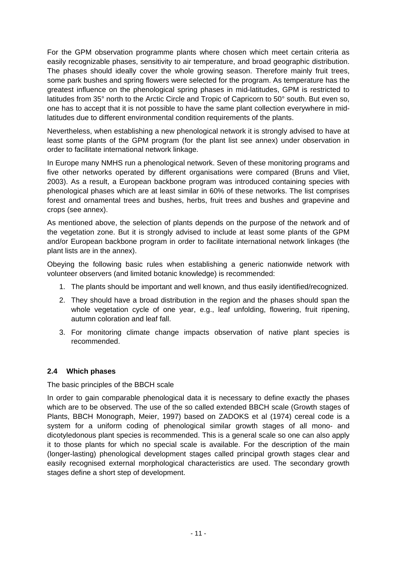For the GPM observation programme plants where chosen which meet certain criteria as easily recognizable phases, sensitivity to air temperature, and broad geographic distribution. The phases should ideally cover the whole growing season. Therefore mainly fruit trees, some park bushes and spring flowers were selected for the program. As temperature has the greatest influence on the phenological spring phases in mid-latitudes, GPM is restricted to latitudes from 35° north to the Arctic Circle and Tropic of Capricorn to 50° south. But even so, one has to accept that it is not possible to have the same plant collection everywhere in midlatitudes due to different environmental condition requirements of the plants.

Nevertheless, when establishing a new phenological network it is strongly advised to have at least some plants of the GPM program (for the plant list see annex) under observation in order to facilitate international network linkage.

In Europe many NMHS run a phenological network. Seven of these monitoring programs and five other networks operated by different organisations were compared (Bruns and Vliet, 2003). As a result, a European backbone program was introduced containing species with phenological phases which are at least similar in 60% of these networks. The list comprises forest and ornamental trees and bushes, herbs, fruit trees and bushes and grapevine and crops (see annex).

As mentioned above, the selection of plants depends on the purpose of the network and of the vegetation zone. But it is strongly advised to include at least some plants of the GPM and/or European backbone program in order to facilitate international network linkages (the plant lists are in the annex).

Obeying the following basic rules when establishing a generic nationwide network with volunteer observers (and limited botanic knowledge) is recommended:

- 1. The plants should be important and well known, and thus easily identified/recognized.
- 2. They should have a broad distribution in the region and the phases should span the whole vegetation cycle of one year, e.g., leaf unfolding, flowering, fruit ripening, autumn coloration and leaf fall.
- 3. For monitoring climate change impacts observation of native plant species is recommended.

## **2.4 Which phases**

### The basic principles of the BBCH scale

In order to gain comparable phenological data it is necessary to define exactly the phases which are to be observed. The use of the so called extended BBCH scale (Growth stages of Plants, BBCH Monograph, Meier, 1997) based on ZADOKS et al (1974) cereal code is a system for a uniform coding of phenological similar growth stages of all mono- and dicotyledonous plant species is recommended. This is a general scale so one can also apply it to those plants for which no special scale is available. For the description of the main (longer-lasting) phenological development stages called principal growth stages clear and easily recognised external morphological characteristics are used. The secondary growth stages define a short step of development.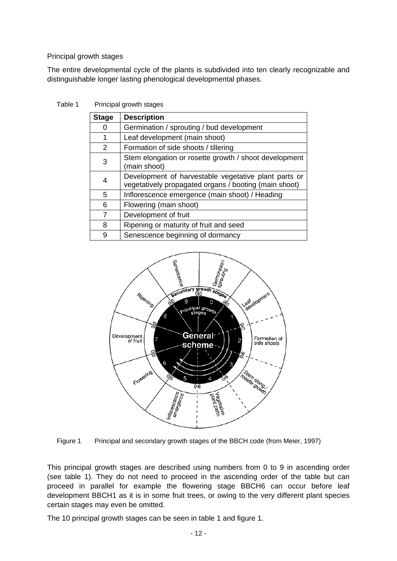### Principal growth stages

The entire developmental cycle of the plants is subdivided into ten clearly recognizable and distinguishable longer lasting phenological developmental phases.

Table 1 Principal growth stages

| <b>Stage</b> | <b>Description</b>                                                                                            |
|--------------|---------------------------------------------------------------------------------------------------------------|
| 0            | Germination / sprouting / bud development                                                                     |
| 1            | Leaf development (main shoot)                                                                                 |
| 2            | Formation of side shoots / tillering                                                                          |
| 3            | Stem elongation or rosette growth / shoot development<br>(main shoot)                                         |
| 4            | Development of harvestable vegetative plant parts or<br>vegetatively propagated organs / booting (main shoot) |
| 5            | Inflorescence emergence (main shoot) / Heading                                                                |
| 6            | Flowering (main shoot)                                                                                        |
| 7            | Development of fruit                                                                                          |
| 8            | Ripening or maturity of fruit and seed                                                                        |
| 9            | Senescence beginning of dormancy                                                                              |



Figure 1 Principal and secondary growth stages of the BBCH code (from Meier, 1997)

This principal growth stages are described using numbers from 0 to 9 in ascending order (see table 1). They do not need to proceed in the ascending order of the table but can proceed in parallel for example the flowering stage BBCH6 can occur before leaf development BBCH1 as it is in some fruit trees, or owing to the very different plant species certain stages may even be omitted.

The 10 principal growth stages can be seen in table 1 and figure 1.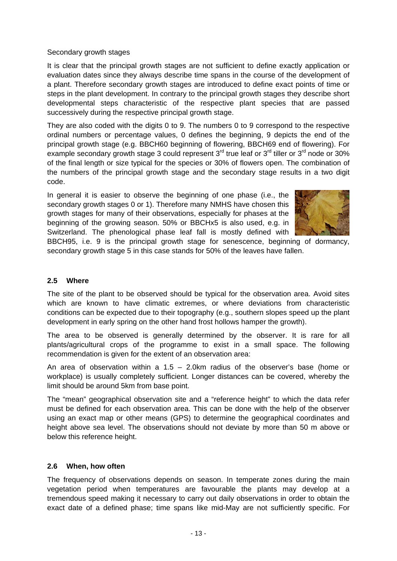### Secondary growth stages

It is clear that the principal growth stages are not sufficient to define exactly application or evaluation dates since they always describe time spans in the course of the development of a plant. Therefore secondary growth stages are introduced to define exact points of time or steps in the plant development. In contrary to the principal growth stages they describe short developmental steps characteristic of the respective plant species that are passed successively during the respective principal growth stage.

They are also coded with the digits 0 to 9. The numbers 0 to 9 correspond to the respective ordinal numbers or percentage values, 0 defines the beginning, 9 depicts the end of the principal growth stage (e.g. BBCH60 beginning of flowering, BBCH69 end of flowering). For example secondary growth stage 3 could represent  $3<sup>rd</sup>$  true leaf or  $3<sup>rd</sup>$  tiller or  $3<sup>rd</sup>$  node or 30% of the final length or size typical for the species or 30% of flowers open. The combination of the numbers of the principal growth stage and the secondary stage results in a two digit code.

In general it is easier to observe the beginning of one phase (i.e., the secondary growth stages 0 or 1). Therefore many NMHS have chosen this growth stages for many of their observations, especially for phases at the beginning of the growing season. 50% or BBCHx5 is also used, e.g. in Switzerland. The phenological phase leaf fall is mostly defined with



BBCH95, i.e. 9 is the principal growth stage for senescence, beginning of dormancy, secondary growth stage 5 in this case stands for 50% of the leaves have fallen.

## **2.5 Where**

The site of the plant to be observed should be typical for the observation area. Avoid sites which are known to have climatic extremes, or where deviations from characteristic conditions can be expected due to their topography (e.g., southern slopes speed up the plant development in early spring on the other hand frost hollows hamper the growth).

The area to be observed is generally determined by the observer. It is rare for all plants/agricultural crops of the programme to exist in a small space. The following recommendation is given for the extent of an observation area:

An area of observation within a 1.5 – 2.0km radius of the observer's base (home or workplace) is usually completely sufficient. Longer distances can be covered, whereby the limit should be around 5km from base point.

The "mean" geographical observation site and a "reference height" to which the data refer must be defined for each observation area. This can be done with the help of the observer using an exact map or other means (GPS) to determine the geographical coordinates and height above sea level. The observations should not deviate by more than 50 m above or below this reference height.

### **2.6 When, how often**

The frequency of observations depends on season. In temperate zones during the main vegetation period when temperatures are favourable the plants may develop at a tremendous speed making it necessary to carry out daily observations in order to obtain the exact date of a defined phase; time spans like mid-May are not sufficiently specific. For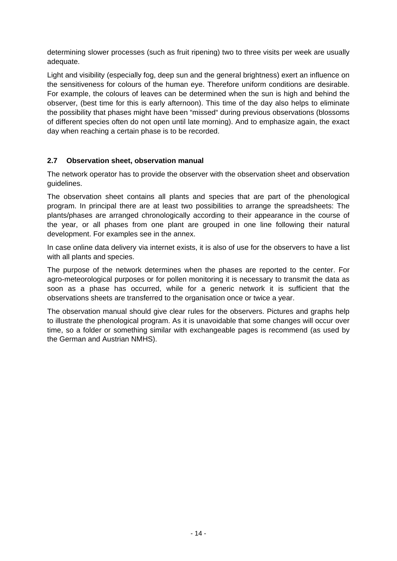determining slower processes (such as fruit ripening) two to three visits per week are usually adequate.

Light and visibility (especially fog, deep sun and the general brightness) exert an influence on the sensitiveness for colours of the human eye. Therefore uniform conditions are desirable. For example, the colours of leaves can be determined when the sun is high and behind the observer, (best time for this is early afternoon). This time of the day also helps to eliminate the possibility that phases might have been "missed" during previous observations (blossoms of different species often do not open until late morning). And to emphasize again, the exact day when reaching a certain phase is to be recorded.

## **2.7 Observation sheet, observation manual**

The network operator has to provide the observer with the observation sheet and observation guidelines.

The observation sheet contains all plants and species that are part of the phenological program. In principal there are at least two possibilities to arrange the spreadsheets: The plants/phases are arranged chronologically according to their appearance in the course of the year, or all phases from one plant are grouped in one line following their natural development. For examples see in the annex.

In case online data delivery via internet exists, it is also of use for the observers to have a list with all plants and species.

The purpose of the network determines when the phases are reported to the center. For agro-meteorological purposes or for pollen monitoring it is necessary to transmit the data as soon as a phase has occurred, while for a generic network it is sufficient that the observations sheets are transferred to the organisation once or twice a year.

The observation manual should give clear rules for the observers. Pictures and graphs help to illustrate the phenological program. As it is unavoidable that some changes will occur over time, so a folder or something similar with exchangeable pages is recommend (as used by the German and Austrian NMHS).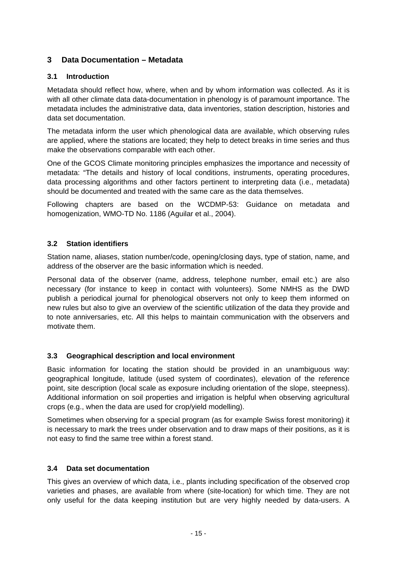## **3 Data Documentation – Metadata**

## **3.1 Introduction**

Metadata should reflect how, where, when and by whom information was collected. As it is with all other climate data data-documentation in phenology is of paramount importance. The metadata includes the administrative data, data inventories, station description, histories and data set documentation.

The metadata inform the user which phenological data are available, which observing rules are applied, where the stations are located; they help to detect breaks in time series and thus make the observations comparable with each other.

One of the GCOS Climate monitoring principles emphasizes the importance and necessity of metadata: "The details and history of local conditions, instruments, operating procedures, data processing algorithms and other factors pertinent to interpreting data (i.e., metadata) should be documented and treated with the same care as the data themselves.

Following chapters are based on the WCDMP-53: Guidance on metadata and homogenization, WMO-TD No. 1186 (Aguilar et al., 2004).

## **3.2 Station identifiers**

Station name, aliases, station number/code, opening/closing days, type of station, name, and address of the observer are the basic information which is needed.

Personal data of the observer (name, address, telephone number, email etc.) are also necessary (for instance to keep in contact with volunteers). Some NMHS as the DWD publish a periodical journal for phenological observers not only to keep them informed on new rules but also to give an overview of the scientific utilization of the data they provide and to note anniversaries, etc. All this helps to maintain communication with the observers and motivate them.

## **3.3 Geographical description and local environment**

Basic information for locating the station should be provided in an unambiguous way: geographical longitude, latitude (used system of coordinates), elevation of the reference point, site description (local scale as exposure including orientation of the slope, steepness). Additional information on soil properties and irrigation is helpful when observing agricultural crops (e.g., when the data are used for crop/yield modelling).

Sometimes when observing for a special program (as for example Swiss forest monitoring) it is necessary to mark the trees under observation and to draw maps of their positions, as it is not easy to find the same tree within a forest stand.

## **3.4 Data set documentation**

This gives an overview of which data, i.e., plants including specification of the observed crop varieties and phases, are available from where (site-location) for which time. They are not only useful for the data keeping institution but are very highly needed by data-users. A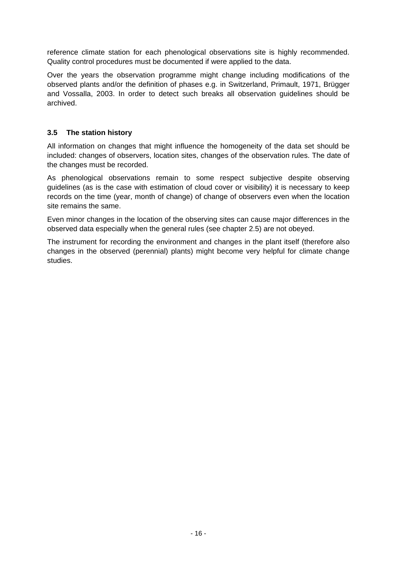reference climate station for each phenological observations site is highly recommended. Quality control procedures must be documented if were applied to the data.

Over the years the observation programme might change including modifications of the observed plants and/or the definition of phases e.g. in Switzerland, Primault, 1971, Brügger and Vossalla, 2003. In order to detect such breaks all observation guidelines should be archived.

## **3.5 The station history**

All information on changes that might influence the homogeneity of the data set should be included: changes of observers, location sites, changes of the observation rules. The date of the changes must be recorded.

As phenological observations remain to some respect subjective despite observing guidelines (as is the case with estimation of cloud cover or visibility) it is necessary to keep records on the time (year, month of change) of change of observers even when the location site remains the same.

Even minor changes in the location of the observing sites can cause major differences in the observed data especially when the general rules (see chapter 2.5) are not obeyed.

The instrument for recording the environment and changes in the plant itself (therefore also changes in the observed (perennial) plants) might become very helpful for climate change studies.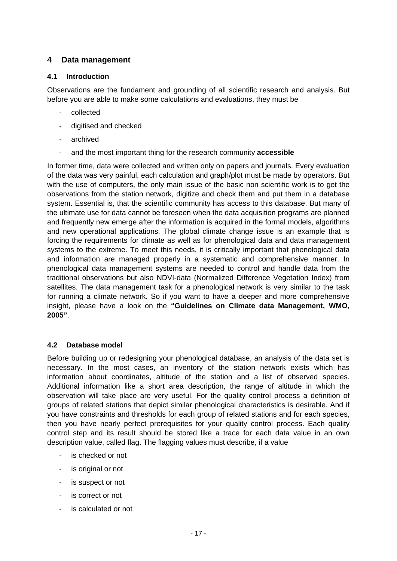## **4 Data management**

## **4.1 Introduction**

Observations are the fundament and grounding of all scientific research and analysis. But before you are able to make some calculations and evaluations, they must be

- collected
- digitised and checked
- archived
- and the most important thing for the research community **accessible**

In former time, data were collected and written only on papers and journals. Every evaluation of the data was very painful, each calculation and graph/plot must be made by operators. But with the use of computers, the only main issue of the basic non scientific work is to get the observations from the station network, digitize and check them and put them in a database system. Essential is, that the scientific community has access to this database. But many of the ultimate use for data cannot be foreseen when the data acquisition programs are planned and frequently new emerge after the information is acquired in the formal models, algorithms and new operational applications. The global climate change issue is an example that is forcing the requirements for climate as well as for phenological data and data management systems to the extreme. To meet this needs, it is critically important that phenological data and information are managed properly in a systematic and comprehensive manner. In phenological data management systems are needed to control and handle data from the traditional observations but also NDVI-data (Normalized Difference Vegetation Index) from satellites. The data management task for a phenological network is very similar to the task for running a climate network. So if you want to have a deeper and more comprehensive insight, please have a look on the **"Guidelines on Climate data Management, WMO, 2005"**.

## **4.2 Database model**

Before building up or redesigning your phenological database, an analysis of the data set is necessary. In the most cases, an inventory of the station network exists which has information about coordinates, altitude of the station and a list of observed species. Additional information like a short area description, the range of altitude in which the observation will take place are very useful. For the quality control process a definition of groups of related stations that depict similar phenological characteristics is desirable. And if you have constraints and thresholds for each group of related stations and for each species, then you have nearly perfect prerequisites for your quality control process. Each quality control step and its result should be stored like a trace for each data value in an own description value, called flag. The flagging values must describe, if a value

- is checked or not
- is original or not
- is suspect or not
- is correct or not
- is calculated or not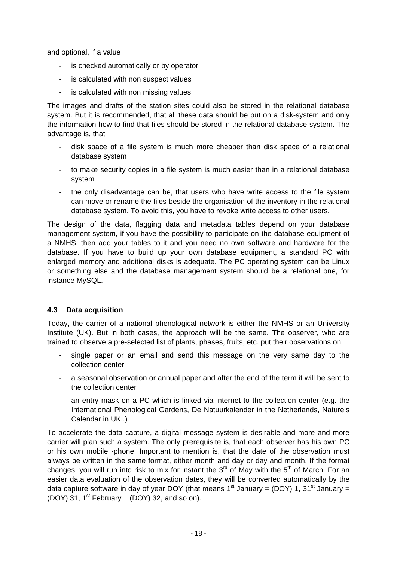and optional, if a value

- is checked automatically or by operator
- is calculated with non suspect values
- is calculated with non missing values

The images and drafts of the station sites could also be stored in the relational database system. But it is recommended, that all these data should be put on a disk-system and only the information how to find that files should be stored in the relational database system. The advantage is, that

- disk space of a file system is much more cheaper than disk space of a relational database system
- to make security copies in a file system is much easier than in a relational database system
- the only disadvantage can be, that users who have write access to the file system can move or rename the files beside the organisation of the inventory in the relational database system. To avoid this, you have to revoke write access to other users.

The design of the data, flagging data and metadata tables depend on your database management system, if you have the possibility to participate on the database equipment of a NMHS, then add your tables to it and you need no own software and hardware for the database. If you have to build up your own database equipment, a standard PC with enlarged memory and additional disks is adequate. The PC operating system can be Linux or something else and the database management system should be a relational one, for instance MySQL.

## **4.3 Data acquisition**

Today, the carrier of a national phenological network is either the NMHS or an University Institute (UK). But in both cases, the approach will be the same. The observer, who are trained to observe a pre-selected list of plants, phases, fruits, etc. put their observations on

- single paper or an email and send this message on the very same day to the collection center
- a seasonal observation or annual paper and after the end of the term it will be sent to the collection center
- an entry mask on a PC which is linked via internet to the collection center (e.g. the International Phenological Gardens, De Natuurkalender in the Netherlands, Nature's Calendar in UK..)

To accelerate the data capture, a digital message system is desirable and more and more carrier will plan such a system. The only prerequisite is, that each observer has his own PC or his own mobile -phone. Important to mention is, that the date of the observation must always be written in the same format, either month and day or day and month. If the format changes, you will run into risk to mix for instant the  $3<sup>rd</sup>$  of May with the  $5<sup>th</sup>$  of March. For an easier data evaluation of the observation dates, they will be converted automatically by the data capture software in day of year DOY (that means  $1<sup>st</sup>$  January = (DOY) 1, 31<sup>st</sup> January = (DOY) 31,  $1^{st}$  February = (DOY) 32, and so on).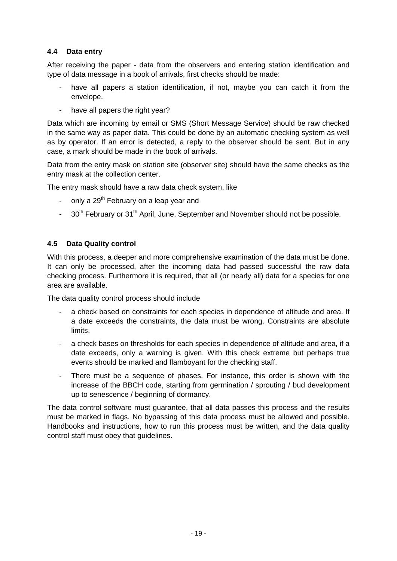## **4.4 Data entry**

After receiving the paper - data from the observers and entering station identification and type of data message in a book of arrivals, first checks should be made:

- have all papers a station identification, if not, maybe you can catch it from the envelope.
- have all papers the right year?

Data which are incoming by email or SMS (Short Message Service) should be raw checked in the same way as paper data. This could be done by an automatic checking system as well as by operator. If an error is detected, a reply to the observer should be sent. But in any case, a mark should be made in the book of arrivals.

Data from the entry mask on station site (observer site) should have the same checks as the entry mask at the collection center.

The entry mask should have a raw data check system, like

- only a 29<sup>th</sup> February on a leap year and
- 30<sup>th</sup> February or 31<sup>th</sup> April, June, September and November should not be possible.

## **4.5 Data Quality control**

With this process, a deeper and more comprehensive examination of the data must be done. It can only be processed, after the incoming data had passed successful the raw data checking process. Furthermore it is required, that all (or nearly all) data for a species for one area are available.

The data quality control process should include

- a check based on constraints for each species in dependence of altitude and area. If a date exceeds the constraints, the data must be wrong. Constraints are absolute limits.
- a check bases on thresholds for each species in dependence of altitude and area, if a date exceeds, only a warning is given. With this check extreme but perhaps true events should be marked and flamboyant for the checking staff.
- There must be a sequence of phases. For instance, this order is shown with the increase of the BBCH code, starting from germination / sprouting / bud development up to senescence / beginning of dormancy.

The data control software must guarantee, that all data passes this process and the results must be marked in flags. No bypassing of this data process must be allowed and possible. Handbooks and instructions, how to run this process must be written, and the data quality control staff must obey that guidelines.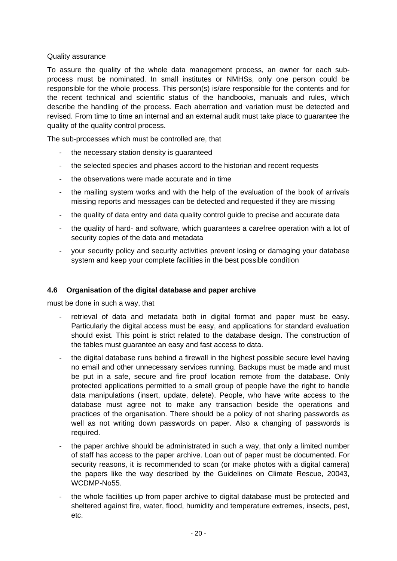## Quality assurance

To assure the quality of the whole data management process, an owner for each subprocess must be nominated. In small institutes or NMHSs, only one person could be responsible for the whole process. This person(s) is/are responsible for the contents and for the recent technical and scientific status of the handbooks, manuals and rules, which describe the handling of the process. Each aberration and variation must be detected and revised. From time to time an internal and an external audit must take place to guarantee the quality of the quality control process.

The sub-processes which must be controlled are, that

- the necessary station density is guaranteed
- the selected species and phases accord to the historian and recent requests
- the observations were made accurate and in time
- the mailing system works and with the help of the evaluation of the book of arrivals missing reports and messages can be detected and requested if they are missing
- the quality of data entry and data quality control quide to precise and accurate data
- the quality of hard- and software, which guarantees a carefree operation with a lot of security copies of the data and metadata
- your security policy and security activities prevent losing or damaging your database system and keep your complete facilities in the best possible condition

## **4.6 Organisation of the digital database and paper archive**

must be done in such a way, that

- retrieval of data and metadata both in digital format and paper must be easy. Particularly the digital access must be easy, and applications for standard evaluation should exist. This point is strict related to the database design. The construction of the tables must guarantee an easy and fast access to data.
- the digital database runs behind a firewall in the highest possible secure level having no email and other unnecessary services running. Backups must be made and must be put in a safe, secure and fire proof location remote from the database. Only protected applications permitted to a small group of people have the right to handle data manipulations (insert, update, delete). People, who have write access to the database must agree not to make any transaction beside the operations and practices of the organisation. There should be a policy of not sharing passwords as well as not writing down passwords on paper. Also a changing of passwords is required.
- the paper archive should be administrated in such a way, that only a limited number of staff has access to the paper archive. Loan out of paper must be documented. For security reasons, it is recommended to scan (or make photos with a digital camera) the papers like the way described by the Guidelines on Climate Rescue, 20043, WCDMP-No55.
- the whole facilities up from paper archive to digital database must be protected and sheltered against fire, water, flood, humidity and temperature extremes, insects, pest, etc.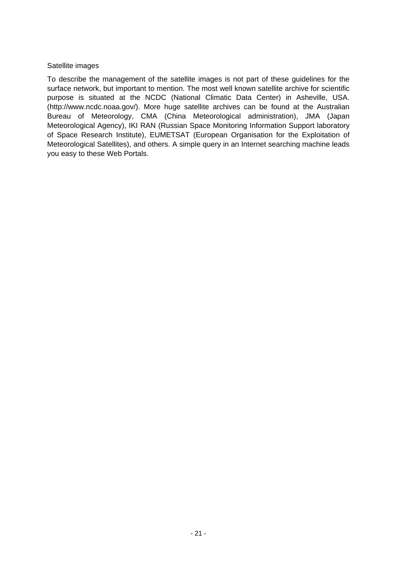### Satellite images

To describe the management of the satellite images is not part of these guidelines for the surface network, but important to mention. The most well known satellite archive for scientific purpose is situated at the NCDC (National Climatic Data Center) in Asheville, USA. (http://www.ncdc.noaa.gov/). More huge satellite archives can be found at the Australian Bureau of Meteorology, CMA (China Meteorological administration), JMA (Japan Meteorological Agency), IKI RAN (Russian Space Monitoring Information Support laboratory of Space Research Institute), EUMETSAT (European Organisation for the Exploitation of Meteorological Satellites), and others. A simple query in an Internet searching machine leads you easy to these Web Portals.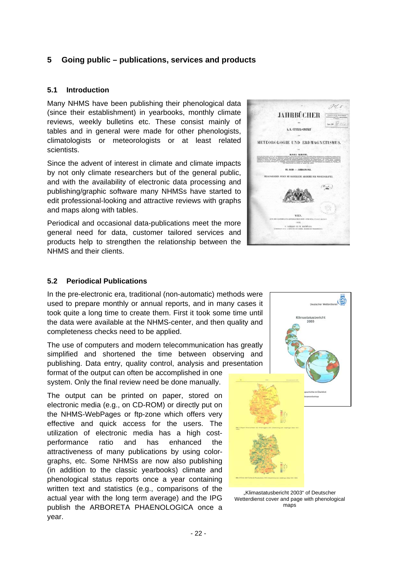## **5 Going public – publications, services and products**

## **5.1 Introduction**

Many NHMS have been publishing their phenological data (since their establishment) in yearbooks, monthly climate reviews, weekly bulletins etc. These consist mainly of tables and in general were made for other phenologists, climatologists or meteorologists or at least related scientists.

Since the advent of interest in climate and climate impacts by not only climate researchers but of the general public, and with the availability of electronic data processing and publishing/graphic software many NHMSs have started to edit professional-looking and attractive reviews with graphs and maps along with tables.

Periodical and occasional data-publications meet the more general need for data, customer tailored services and products help to strengthen the relationship between the NHMS and their clients.



### **5.2 Periodical Publications**

In the pre-electronic era, traditional (non-automatic) methods were used to prepare monthly or annual reports, and in many cases it took quite a long time to create them. First it took some time until the data were available at the NHMS-center, and then quality and completeness checks need to be applied.

The use of computers and modern telecommunication has greatly simplified and shortened the time between observing and publishing. Data entry, quality control, analysis and presentation

format of the output can often be accomplished in one system. Only the final review need be done manually.

The output can be printed on paper, stored on electronic media (e.g., on CD-ROM) or directly put on the NHMS-WebPages or ftp-zone which offers very effective and quick access for the users. The utilization of electronic media has a high costperformance ratio and has enhanced the attractiveness of many publications by using colorgraphs, etc. Some NHMSs are now also publishing (in addition to the classic yearbooks) climate and phenological status reports once a year containing written text and statistics (e.g., comparisons of the actual year with the long term average) and the IPG publish the ARBORETA PHAENOLOGICA once a year.



"Klimastatusbericht 2003" of Deutscher Wetterdienst cover and page with phenological maps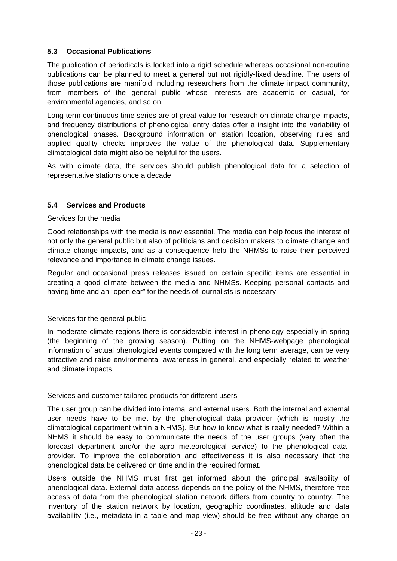## **5.3 Occasional Publications**

The publication of periodicals is locked into a rigid schedule whereas occasional non-routine publications can be planned to meet a general but not rigidly-fixed deadline. The users of those publications are manifold including researchers from the climate impact community, from members of the general public whose interests are academic or casual, for environmental agencies, and so on.

Long-term continuous time series are of great value for research on climate change impacts, and frequency distributions of phenological entry dates offer a insight into the variability of phenological phases. Background information on station location, observing rules and applied quality checks improves the value of the phenological data. Supplementary climatological data might also be helpful for the users.

As with climate data, the services should publish phenological data for a selection of representative stations once a decade.

## **5.4 Services and Products**

Services for the media

Good relationships with the media is now essential. The media can help focus the interest of not only the general public but also of politicians and decision makers to climate change and climate change impacts, and as a consequence help the NHMSs to raise their perceived relevance and importance in climate change issues.

Regular and occasional press releases issued on certain specific items are essential in creating a good climate between the media and NHMSs. Keeping personal contacts and having time and an "open ear" for the needs of journalists is necessary.

### Services for the general public

In moderate climate regions there is considerable interest in phenology especially in spring (the beginning of the growing season). Putting on the NHMS-webpage phenological information of actual phenological events compared with the long term average, can be very attractive and raise environmental awareness in general, and especially related to weather and climate impacts.

### Services and customer tailored products for different users

The user group can be divided into internal and external users. Both the internal and external user needs have to be met by the phenological data provider (which is mostly the climatological department within a NHMS). But how to know what is really needed? Within a NHMS it should be easy to communicate the needs of the user groups (very often the forecast department and/or the agro meteorological service) to the phenological dataprovider. To improve the collaboration and effectiveness it is also necessary that the phenological data be delivered on time and in the required format.

Users outside the NHMS must first get informed about the principal availability of phenological data. External data access depends on the policy of the NHMS, therefore free access of data from the phenological station network differs from country to country. The inventory of the station network by location, geographic coordinates, altitude and data availability (i.e., metadata in a table and map view) should be free without any charge on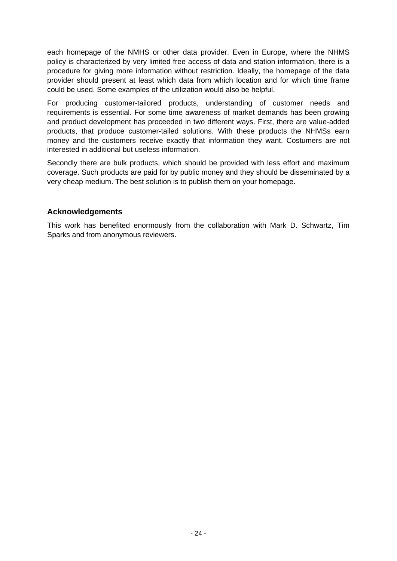each homepage of the NMHS or other data provider. Even in Europe, where the NHMS policy is characterized by very limited free access of data and station information, there is a procedure for giving more information without restriction. Ideally, the homepage of the data provider should present at least which data from which location and for which time frame could be used. Some examples of the utilization would also be helpful.

For producing customer-tailored products, understanding of customer needs and requirements is essential. For some time awareness of market demands has been growing and product development has proceeded in two different ways. First, there are value-added products, that produce customer-tailed solutions. With these products the NHMSs earn money and the customers receive exactly that information they want. Costumers are not interested in additional but useless information.

Secondly there are bulk products, which should be provided with less effort and maximum coverage. Such products are paid for by public money and they should be disseminated by a very cheap medium. The best solution is to publish them on your homepage.

## **Acknowledgements**

This work has benefited enormously from the collaboration with Mark D. Schwartz, Tim Sparks and from anonymous reviewers.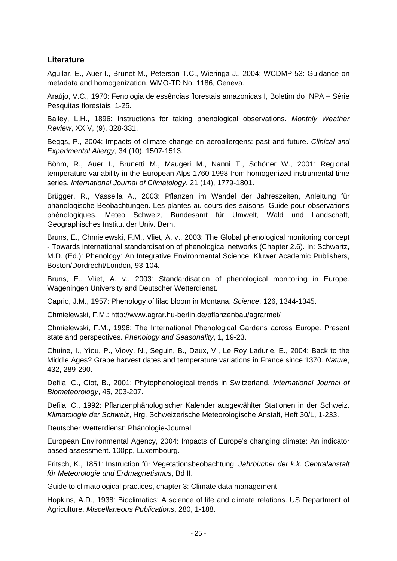## **Literature**

Aguilar, E., Auer I., Brunet M., Peterson T.C., Wieringa J., 2004: WCDMP-53: Guidance on metadata and homogenization, WMO-TD No. 1186, Geneva.

Araújo, V.C., 1970: Fenologia de essências florestais amazonicas I, Boletim do INPA – Série Pesquitas florestais, 1-25.

Bailey, L.H., 1896: Instructions for taking phenological observations. *Monthly Weather Review*, XXIV, (9), 328-331.

Beggs, P., 2004: Impacts of climate change on aeroallergens: past and future. *Clinical and Experimental Allergy*, 34 (10), 1507-1513.

Böhm, R., Auer I., Brunetti M., Maugeri M., Nanni T., Schöner W., 2001: Regional temperature variability in the European Alps 1760-1998 from homogenized instrumental time series. *International Journal of Climatology*, 21 (14), 1779-1801.

Brügger, R., Vassella A., 2003: Pflanzen im Wandel der Jahreszeiten, Anleitung für phänologische Beobachtungen. Les plantes au cours des saisons, Guide pour observations phénologiques. Meteo Schweiz, Bundesamt für Umwelt, Wald und Landschaft, Geographisches Institut der Univ. Bern.

Bruns, E., Chmielewski, F.M., Vliet, A. v., 2003: The Global phenological monitoring concept - Towards international standardisation of phenological networks (Chapter 2.6). In: Schwartz, M.D. (Ed.): Phenology: An Integrative Environmental Science. Kluwer Academic Publishers, Boston/Dordrecht/London, 93-104.

Bruns, E., Vliet, A. v., 2003: Standardisation of phenological monitoring in Europe. Wageningen University and Deutscher Wetterdienst.

Caprio, J.M., 1957: Phenology of lilac bloom in Montana. *Science*, 126, 1344-1345.

Chmielewski, F.M.: http://www.agrar.hu-berlin.de/pflanzenbau/agrarmet/

Chmielewski, F.M., 1996: The International Phenological Gardens across Europe. Present state and perspectives. *Phenology and Seasonality*, 1, 19-23.

Chuine, I., Yiou, P., Viovy, N., Seguin, B., Daux, V., Le Roy Ladurie, E., 2004: Back to the Middle Ages? Grape harvest dates and temperature variations in France since 1370. *Nature*, 432, 289-290.

Defila, C., Clot, B., 2001: Phytophenological trends in Switzerland, *International Journal of Biometeorology*, 45, 203-207.

Defila, C., 1992: Pflanzenphänologischer Kalender ausgewählter Stationen in der Schweiz. *Klimatologie der Schweiz*, Hrg. Schweizerische Meteorologische Anstalt, Heft 30/L, 1-233.

Deutscher Wetterdienst: Phänologie-Journal

European Environmental Agency, 2004: Impacts of Europe's changing climate: An indicator based assessment. 100pp, Luxembourg.

Fritsch, K., 1851: Instruction für Vegetationsbeobachtung. *Jahrbücher der k.k. Centralanstalt für Meteorologie und Erdmagnetismus*, Bd II.

Guide to climatological practices, chapter 3: Climate data management

Hopkins, A.D., 1938: Bioclimatics: A science of life and climate relations. US Department of Agriculture, *Miscellaneous Publications*, 280, 1-188.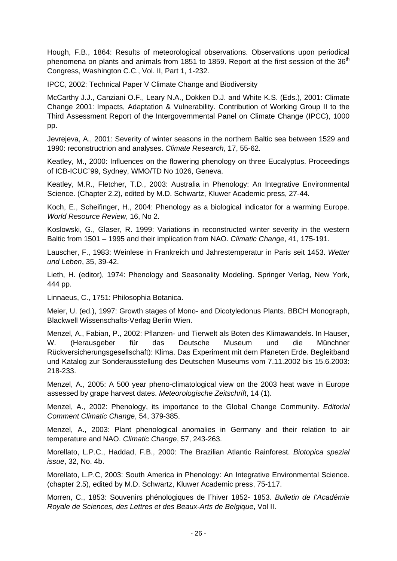Hough, F.B., 1864: Results of meteorological observations. Observations upon periodical phenomena on plants and animals from 1851 to 1859. Report at the first session of the 36<sup>th</sup> Congress, Washington C.C., Vol. II, Part 1, 1-232.

IPCC, 2002: Technical Paper V Climate Change and Biodiversity

McCarthy J.J., Canziani O.F., Leary N.A., Dokken D.J. and White K.S. (Eds.), 2001: Climate Change 2001: Impacts, Adaptation & Vulnerability. Contribution of Working Group II to the Third Assessment Report of the Intergovernmental Panel on Climate Change (IPCC), 1000 pp.

Jevrejeva, A., 2001: Severity of winter seasons in the northern Baltic sea between 1529 and 1990: reconstructrion and analyses. *Climate Research*, 17, 55-62.

Keatley, M., 2000: Influences on the flowering phenology on three Eucalyptus. Proceedings of ICB-ICUC`99, Sydney, WMO/TD No 1026, Geneva.

Keatley, M.R., Fletcher, T.D., 2003: Australia in Phenology: An Integrative Environmental Science. (Chapter 2.2), edited by M.D. Schwartz, Kluwer Academic press, 27-44.

Koch, E., Scheifinger, H., 2004: Phenology as a biological indicator for a warming Europe. *World Resource Review*, 16, No 2.

Koslowski, G., Glaser, R. 1999: Variations in reconstructed winter severity in the western Baltic from 1501 – 1995 and their implication from NAO. *Climatic Change*, 41, 175-191.

Lauscher, F., 1983: Weinlese in Frankreich und Jahrestemperatur in Paris seit 1453. *Wetter und Leben*, 35, 39-42.

Lieth, H. (editor), 1974: Phenology and Seasonality Modeling. Springer Verlag, New York, 444 pp.

Linnaeus, C., 1751: Philosophia Botanica.

Meier, U. (ed.), 1997: Growth stages of Mono- and Dicotyledonus Plants. BBCH Monograph, Blackwell Wissenschafts-Verlag Berlin Wien.

Menzel, A., Fabian, P., 2002: Pflanzen- und Tierwelt als Boten des Klimawandels. In Hauser, W. (Herausgeber für das Deutsche Museum und die Münchner Rückversicherungsgesellschaft): Klima. Das Experiment mit dem Planeten Erde. Begleitband und Katalog zur Sonderausstellung des Deutschen Museums vom 7.11.2002 bis 15.6.2003: 218-233.

Menzel, A., 2005: A 500 year pheno-climatological view on the 2003 heat wave in Europe assessed by grape harvest dates. *Meteorologische Zeitschrift*, 14 (1).

Menzel, A., 2002: Phenology, its importance to the Global Change Community. *Editorial Comment Climatic Change*, 54, 379-385.

Menzel, A., 2003: Plant phenological anomalies in Germany and their relation to air temperature and NAO. *Climatic Change*, 57, 243-263.

Morellato, L.P.C., Haddad, F.B., 2000: The Brazilian Atlantic Rainforest. *Biotopica spezial issue*, 32, No. 4b.

Morellato, L.P.C, 2003: South America in Phenology: An Integrative Environmental Science. (chapter 2.5), edited by M.D. Schwartz, Kluwer Academic press, 75-117.

Morren, C., 1853: Souvenirs phénologiques de l´hiver 1852- 1853. *Bulletin de l'Académie Royale de Sciences, des Lettres et des Beaux-Arts de Belgique*, Vol II.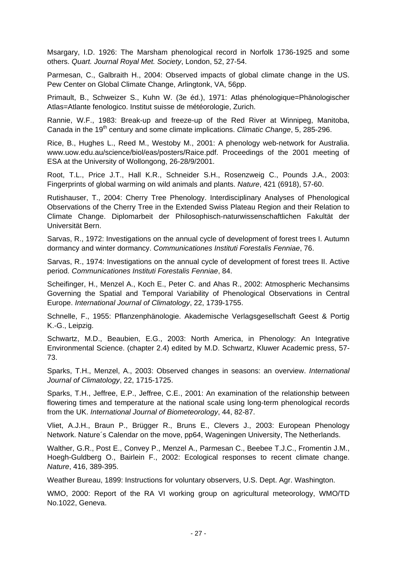Msargary, I.D. 1926: The Marsham phenological record in Norfolk 1736-1925 and some others. *Quart. Journal Royal Met. Society*, London, 52, 27-54.

Parmesan, C., Galbraith H., 2004: Observed impacts of global climate change in the US. Pew Center on Global Climate Change, Arlingtonk, VA, 56pp.

Primault, B., Schweizer S., Kuhn W. (3e éd.), 1971: Atlas phénologique=Phänologischer Atlas=Atlante fenologico. Institut suisse de météorologie, Zurich.

Rannie, W.F., 1983: Break-up and freeze-up of the Red River at Winnipeg, Manitoba, Canada in the 19<sup>th</sup> century and some climate implications. *Climatic Change*, 5, 285-296.

Rice, B., Hughes L., Reed M., Westoby M., 2001: A phenology web-network for Australia. www.uow.edu.au/science/biol/eas/posters/Raice.pdf. Proceedings of the 2001 meeting of ESA at the University of Wollongong, 26-28/9/2001.

Root, T.L., Price J.T., Hall K.R., Schneider S.H., Rosenzweig C., Pounds J.A., 2003: Fingerprints of global warming on wild animals and plants. *Nature*, 421 (6918), 57-60.

Rutishauser, T., 2004: Cherry Tree Phenology. Interdisciplinary Analyses of Phenological Observations of the Cherry Tree in the Extended Swiss Plateau Region and their Relation to Climate Change. Diplomarbeit der Philosophisch-naturwissenschaftlichen Fakultät der Universität Bern.

Sarvas, R., 1972: Investigations on the annual cycle of development of forest trees I. Autumn dormancy and winter dormancy. *Communicationes Instituti Forestalis Fenniae*, 76.

Sarvas, R., 1974: Investigations on the annual cycle of development of forest trees II. Active period. *Communicationes Instituti Forestalis Fenniae*, 84.

Scheifinger, H., Menzel A., Koch E., Peter C. and Ahas R., 2002: Atmospheric Mechansims Governing the Spatial and Temporal Variability of Phenological Observations in Central Europe. *International Journal of Climatology*, 22, 1739-1755.

Schnelle, F., 1955: Pflanzenphänologie. Akademische Verlagsgesellschaft Geest & Portig K.-G., Leipzig.

Schwartz, M.D., Beaubien, E.G., 2003: North America, in Phenology: An Integrative Environmental Science. (chapter 2.4) edited by M.D. Schwartz, Kluwer Academic press, 57- 73.

Sparks, T.H., Menzel, A., 2003: Observed changes in seasons: an overview. *International Journal of Climatology*, 22, 1715-1725.

Sparks, T.H., Jeffree, E.P., Jeffree, C.E., 2001: An examination of the relationship between flowering times and temperature at the national scale using long-term phenological records from the UK. *International Journal of Biometeorology*, 44, 82-87.

Vliet, A.J.H., Braun P., Brügger R., Bruns E., Clevers J., 2003: European Phenology Network. Nature´s Calendar on the move, pp64, Wageningen University, The Netherlands.

Walther, G.R., Post E., Convey P., Menzel A., Parmesan C., Beebee T.J.C., Fromentin J.M., Hoegh-Guldberg O., Bairlein F., 2002: Ecological responses to recent climate change. *Nature*, 416, 389-395.

Weather Bureau, 1899: Instructions for voluntary observers, U.S. Dept. Agr. Washington.

WMO, 2000: Report of the RA VI working group on agricultural meteorology, WMO/TD No.1022, Geneva.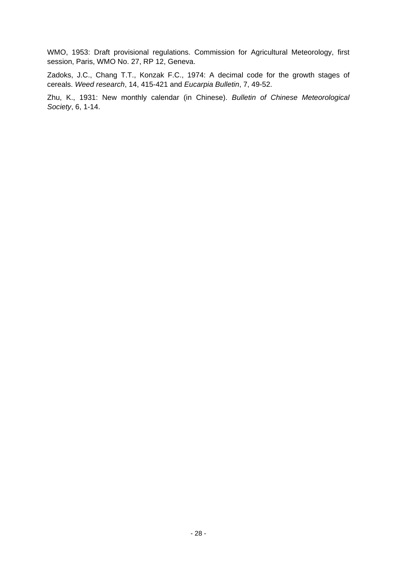WMO, 1953: Draft provisional regulations. Commission for Agricultural Meteorology, first session, Paris, WMO No. 27, RP 12, Geneva.

Zadoks, J.C., Chang T.T., Konzak F.C., 1974: A decimal code for the growth stages of cereals. *Weed research*, 14, 415-421 and *Eucarpia Bulletin*, 7, 49-52.

Zhu, K., 1931: New monthly calendar (in Chinese). *Bulletin of Chinese Meteorological Society*, 6, 1-14.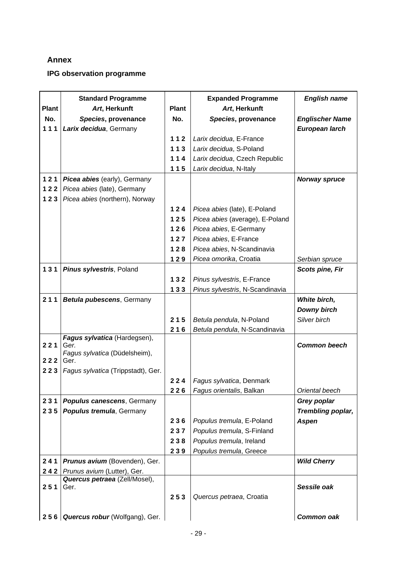## **Annex**

## **IPG observation programme**

|              | <b>Standard Programme</b>             |              | <b>Expanded Programme</b>       | <b>English name</b>    |
|--------------|---------------------------------------|--------------|---------------------------------|------------------------|
| <b>Plant</b> | Art, Herkunft                         | <b>Plant</b> | Art, Herkunft                   |                        |
| No.          | Species, provenance                   | No.          | Species, provenance             | <b>Englischer Name</b> |
| 111          | Larix decidua, Germany                |              |                                 | European larch         |
|              |                                       | 112          | Larix decidua, E-France         |                        |
|              |                                       | 113          | Larix decidua, S-Poland         |                        |
|              |                                       | 114          | Larix decidua, Czech Republic   |                        |
|              |                                       | 115          | Larix decidua, N-Italy          |                        |
| 121          | Picea abies (early), Germany          |              |                                 | <b>Norway spruce</b>   |
| 122          | Picea abies (late), Germany           |              |                                 |                        |
| 123          | Picea abies (northern), Norway        |              |                                 |                        |
|              |                                       | 124          | Picea abies (late), E-Poland    |                        |
|              |                                       | 125          | Picea abies (average), E-Poland |                        |
|              |                                       | 126          | Picea abies, E-Germany          |                        |
|              |                                       | 127          | Picea abies, E-France           |                        |
|              |                                       | $128$        | Picea abies, N-Scandinavia      |                        |
|              |                                       | 129          | Picea omorika, Croatia          | Serbian spruce         |
| 131          | Pinus sylvestris, Poland              |              |                                 | <b>Scots pine, Fir</b> |
|              |                                       | 132          | Pinus sylvestris, E-France      |                        |
|              |                                       | 133          | Pinus sylvestris, N-Scandinavia |                        |
| 211          | Betula pubescens, Germany             |              |                                 | White birch,           |
|              |                                       |              |                                 | <b>Downy birch</b>     |
|              |                                       | 215          | Betula pendula, N-Poland        | Silver birch           |
|              |                                       | 216          | Betula pendula, N-Scandinavia   |                        |
|              | Fagus sylvatica (Hardegsen),          |              |                                 |                        |
| 221          | Ger.<br>Fagus sylvatica (Düdelsheim), |              |                                 | <b>Common beech</b>    |
| 222          | Ger.                                  |              |                                 |                        |
| 223          | Fagus sylvatica (Trippstadt), Ger.    |              |                                 |                        |
|              |                                       | 224          | Fagus sylvatica, Denmark        |                        |
|              |                                       | 226          | Fagus orientalis, Balkan        | Oriental beech         |
| 231          | <b>Populus canescens, Germany</b>     |              |                                 | Grey poplar            |
| 235          | <b>Populus tremula, Germany</b>       |              |                                 | Trembling poplar,      |
|              |                                       | 236          | Populus tremula, E-Poland       | <b>Aspen</b>           |
|              |                                       | 237          | Populus tremula, S-Finland      |                        |
|              |                                       | 238          | Populus tremula, Ireland        |                        |
|              |                                       | 239          | Populus tremula, Greece         |                        |
| 241          | Prunus avium (Bovenden), Ger.         |              |                                 | <b>Wild Cherry</b>     |
| 242          | Prunus avium (Lutter), Ger.           |              |                                 |                        |
|              | Quercus petraea (Zell/Mosel),         |              |                                 |                        |
| 251          | Ger.                                  |              |                                 | Sessile oak            |
|              |                                       | 253          | Quercus petraea, Croatia        |                        |
|              |                                       |              |                                 |                        |
| 256          | Quercus robur (Wolfgang), Ger.        |              |                                 | Common oak             |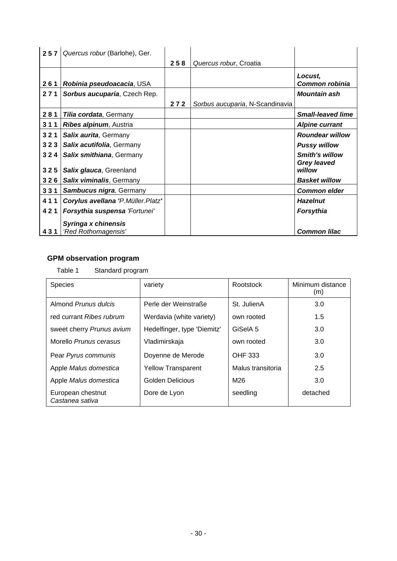| 257 | Quercus robur (Barlohe), Ger.       |     |                                 |                                             |
|-----|-------------------------------------|-----|---------------------------------|---------------------------------------------|
|     |                                     | 258 | Quercus robur, Croatia          |                                             |
| 261 | Robinia pseudoacacia, USA           |     |                                 | Locust,<br>Common robinia                   |
| 271 | <b>Sorbus aucuparia, Czech Rep.</b> |     |                                 | <i><b>Mountain ash</b></i>                  |
|     |                                     | 272 | Sorbus aucuparia, N-Scandinavia |                                             |
| 281 | Tilia cordata, Germany              |     |                                 | <b>Small-leaved lime</b>                    |
| 311 | Ribes alpinum, Austria              |     |                                 | <b>Alpine currant</b>                       |
| 321 | <b>Salix aurita, Germany</b>        |     |                                 | <b>Roundear willow</b>                      |
| 323 | Salix acutifolia, Germany           |     |                                 | <b>Pussy willow</b>                         |
| 324 | Salix smithiana, Germany            |     |                                 | <b>Smith's willow</b><br><b>Grey leaved</b> |
| 325 | Salix glauca, Greenland             |     |                                 | willow                                      |
| 326 | Salix viminalis, Germany            |     |                                 | <b>Basket willow</b>                        |
| 331 | <b>Sambucus nigra, Germany</b>      |     |                                 | <b>Common elder</b>                         |
| 411 | Corylus avellana 'P.Müller.Platz'   |     |                                 | <b>Hazelnut</b>                             |
| 421 | Forsythia suspensa 'Fortunei'       |     |                                 | <b>Forsythia</b>                            |
|     | Syringa x chinensis                 |     |                                 |                                             |
| 431 | 'Red Rothomagensis'                 |     |                                 | <b>Common lilac</b>                         |

## **GPM observation program**

Table 1 Standard program

| <b>Species</b>                       | variety                     | Rootstock         | Minimum distance<br>(m) |
|--------------------------------------|-----------------------------|-------------------|-------------------------|
| Almond Prunus dulcis                 | Perle der Weinstraße        | St. JulienA       | 3.0                     |
| red currant Ribes rubrum             | Werdavia (white variety)    | own rooted        | 1.5                     |
| sweet cherry Prunus avium            | Hedelfinger, type 'Diemitz' | GiSelA 5          | 3.0                     |
| Morello Prunus cerasus               | Vladimirskaja               | own rooted        | 3.0                     |
| Pear Pyrus communis                  | Doyenne de Merode           | <b>OHF 333</b>    | 3.0                     |
| Apple Malus domestica                | <b>Yellow Transparent</b>   | Malus transitoria | 2.5                     |
| Apple Malus domestica                | Golden Delicious            | M26               | 3.0                     |
| European chestnut<br>Castanea sativa | Dore de Lyon                | seedling          | detached                |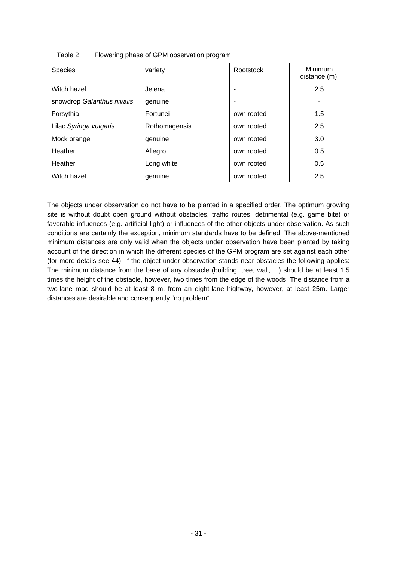| <b>Species</b>             | variety       | Rootstock  | <b>Minimum</b><br>distance (m) |
|----------------------------|---------------|------------|--------------------------------|
| Witch hazel                | Jelena        |            | 2.5                            |
| snowdrop Galanthus nivalis | genuine       |            |                                |
| Forsythia                  | Fortunei      | own rooted | 1.5                            |
| Lilac Syringa vulgaris     | Rothomagensis | own rooted | 2.5                            |
| Mock orange                | genuine       | own rooted | 3.0                            |
| Heather                    | Allegro       | own rooted | 0.5                            |
| Heather                    | Long white    | own rooted | 0.5                            |
| Witch hazel                | genuine       | own rooted | 2.5                            |

Table 2 Flowering phase of GPM observation program

The objects under observation do not have to be planted in a specified order. The optimum growing site is without doubt open ground without obstacles, traffic routes, detrimental (e.g. game bite) or favorable influences (e.g. artificial light) or influences of the other objects under observation. As such conditions are certainly the exception, minimum standards have to be defined. The above-mentioned minimum distances are only valid when the objects under observation have been planted by taking account of the direction in which the different species of the GPM program are set against each other (for more details see 44). If the object under observation stands near obstacles the following applies: The minimum distance from the base of any obstacle (building, tree, wall, ...) should be at least 1.5 times the height of the obstacle, however, two times from the edge of the woods. The distance from a two-lane road should be at least 8 m, from an eight-lane highway, however, at least 25m. Larger distances are desirable and consequently "no problem".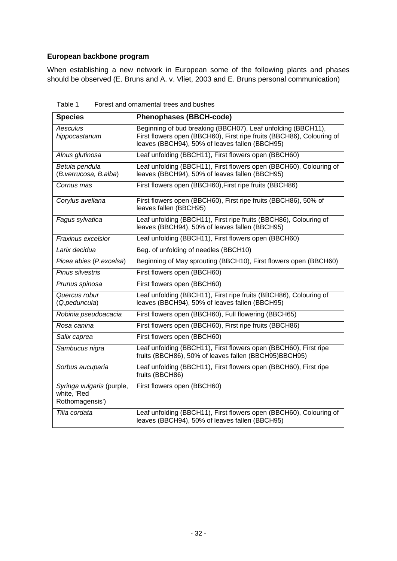### **European backbone program**

When establishing a new network in European some of the following plants and phases should be observed (E. Bruns and A. v. Vliet, 2003 and E. Bruns personal communication)

| <b>Species</b>                                              | <b>Phenophases (BBCH-code)</b>                                                                                                                                                          |
|-------------------------------------------------------------|-----------------------------------------------------------------------------------------------------------------------------------------------------------------------------------------|
| Aesculus<br>hippocastanum                                   | Beginning of bud breaking (BBCH07), Leaf unfolding (BBCH11),<br>First flowers open (BBCH60), First ripe fruits (BBCH86), Colouring of<br>leaves (BBCH94), 50% of leaves fallen (BBCH95) |
| Alnus glutinosa                                             | Leaf unfolding (BBCH11), First flowers open (BBCH60)                                                                                                                                    |
| Betula pendula<br>(B. verrucosa, B. alba)                   | Leaf unfolding (BBCH11), First flowers open (BBCH60), Colouring of<br>leaves (BBCH94), 50% of leaves fallen (BBCH95)                                                                    |
| Cornus mas                                                  | First flowers open (BBCH60), First ripe fruits (BBCH86)                                                                                                                                 |
| Corylus avellana                                            | First flowers open (BBCH60), First ripe fruits (BBCH86), 50% of<br>leaves fallen (BBCH95)                                                                                               |
| Fagus sylvatica                                             | Leaf unfolding (BBCH11), First ripe fruits (BBCH86), Colouring of<br>leaves (BBCH94), 50% of leaves fallen (BBCH95)                                                                     |
| Fraxinus excelsior                                          | Leaf unfolding (BBCH11), First flowers open (BBCH60)                                                                                                                                    |
| Larix decidua                                               | Beg. of unfolding of needles (BBCH10)                                                                                                                                                   |
| Picea abies (P.excelsa)                                     | Beginning of May sprouting (BBCH10), First flowers open (BBCH60)                                                                                                                        |
| Pinus silvestris                                            | First flowers open (BBCH60)                                                                                                                                                             |
| Prunus spinosa                                              | First flowers open (BBCH60)                                                                                                                                                             |
| Quercus robur<br>(Q.peduncula)                              | Leaf unfolding (BBCH11), First ripe fruits (BBCH86), Colouring of<br>leaves (BBCH94), 50% of leaves fallen (BBCH95)                                                                     |
| Robinia pseudoacacia                                        | First flowers open (BBCH60), Full flowering (BBCH65)                                                                                                                                    |
| Rosa canina                                                 | First flowers open (BBCH60), First ripe fruits (BBCH86)                                                                                                                                 |
| Salix caprea                                                | First flowers open (BBCH60)                                                                                                                                                             |
| Sambucus nigra                                              | Leaf unfolding (BBCH11), First flowers open (BBCH60), First ripe<br>fruits (BBCH86), 50% of leaves fallen (BBCH95)BBCH95)                                                               |
| Sorbus aucuparia                                            | Leaf unfolding (BBCH11), First flowers open (BBCH60), First ripe<br>fruits (BBCH86)                                                                                                     |
| Syringa vulgaris (purple,<br>white, 'Red<br>Rothomagensis') | First flowers open (BBCH60)                                                                                                                                                             |
| Tilia cordata                                               | Leaf unfolding (BBCH11), First flowers open (BBCH60), Colouring of<br>leaves (BBCH94), 50% of leaves fallen (BBCH95)                                                                    |

Table 1 Forest and ornamental trees and bushes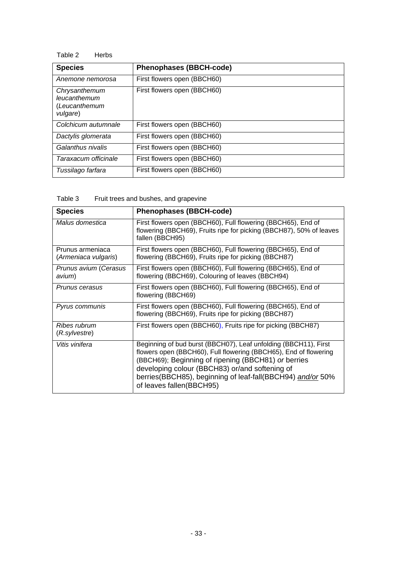#### Table 2 Herbs

| <b>Species</b>                                             | <b>Phenophases (BBCH-code)</b> |
|------------------------------------------------------------|--------------------------------|
| Anemone nemorosa                                           | First flowers open (BBCH60)    |
| Chrysanthemum<br>leucanthemum<br>(Leucanthemum<br>vulgare) | First flowers open (BBCH60)    |
| Colchicum autumnale                                        | First flowers open (BBCH60)    |
| Dactylis glomerata                                         | First flowers open (BBCH60)    |
| Galanthus nivalis                                          | First flowers open (BBCH60)    |
| Taraxacum officinale                                       | First flowers open (BBCH60)    |
| Tussilago farfara                                          | First flowers open (BBCH60)    |

| Fruit trees and bushes, and grapevine | Table 3 |  |  |  |  |
|---------------------------------------|---------|--|--|--|--|
|---------------------------------------|---------|--|--|--|--|

| <b>Species</b>                           | <b>Phenophases (BBCH-code)</b>                                                                                                                                                                                                                                                                                                           |
|------------------------------------------|------------------------------------------------------------------------------------------------------------------------------------------------------------------------------------------------------------------------------------------------------------------------------------------------------------------------------------------|
| Malus domestica                          | First flowers open (BBCH60), Full flowering (BBCH65), End of<br>flowering (BBCH69), Fruits ripe for picking (BBCH87), 50% of leaves<br>fallen (BBCH95)                                                                                                                                                                                   |
| Prunus armeniaca<br>(Armeniaca vulgaris) | First flowers open (BBCH60), Full flowering (BBCH65), End of<br>flowering (BBCH69), Fruits ripe for picking (BBCH87)                                                                                                                                                                                                                     |
| Prunus avium (Cerasus<br>avium)          | First flowers open (BBCH60), Full flowering (BBCH65), End of<br>flowering (BBCH69), Colouring of leaves (BBCH94)                                                                                                                                                                                                                         |
| Prunus cerasus                           | First flowers open (BBCH60), Full flowering (BBCH65), End of<br>flowering (BBCH69)                                                                                                                                                                                                                                                       |
| Pyrus communis                           | First flowers open (BBCH60), Full flowering (BBCH65), End of<br>flowering (BBCH69), Fruits ripe for picking (BBCH87)                                                                                                                                                                                                                     |
| Ribes rubrum<br>(R.sylvestre)            | First flowers open (BBCH60), Fruits ripe for picking (BBCH87)                                                                                                                                                                                                                                                                            |
| Vitis vinifera                           | Beginning of bud burst (BBCH07), Leaf unfolding (BBCH11), First<br>flowers open (BBCH60), Full flowering (BBCH65), End of flowering<br>(BBCH69); Beginning of ripening (BBCH81) or berries<br>developing colour (BBCH83) or/and softening of<br>berries (BBCH85), beginning of leaf-fall (BBCH94) and/or 50%<br>of leaves fallen(BBCH95) |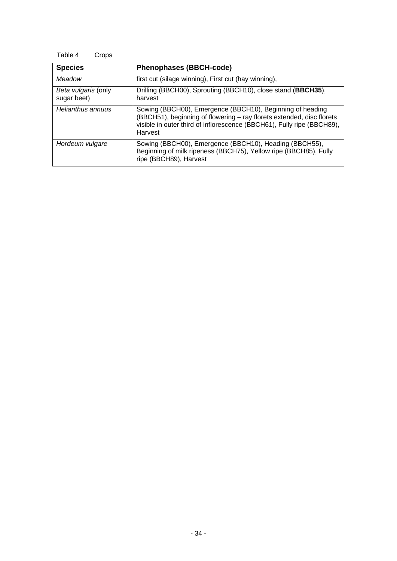## Table 4 Crops

| <b>Species</b>                     | <b>Phenophases (BBCH-code)</b>                                                                                                                                                                                          |
|------------------------------------|-------------------------------------------------------------------------------------------------------------------------------------------------------------------------------------------------------------------------|
| Meadow                             | first cut (silage winning), First cut (hay winning),                                                                                                                                                                    |
| Beta vulgaris (only<br>sugar beet) | Drilling (BBCH00), Sprouting (BBCH10), close stand (BBCH35),<br>harvest                                                                                                                                                 |
| Helianthus annuus                  | Sowing (BBCH00), Emergence (BBCH10), Beginning of heading<br>(BBCH51), beginning of flowering - ray florets extended, disc florets<br>visible in outer third of inflorescence (BBCH61), Fully ripe (BBCH89),<br>Harvest |
| Hordeum vulgare                    | Sowing (BBCH00), Emergence (BBCH10), Heading (BBCH55),<br>Beginning of milk ripeness (BBCH75), Yellow ripe (BBCH85), Fully<br>ripe (BBCH89), Harvest                                                                    |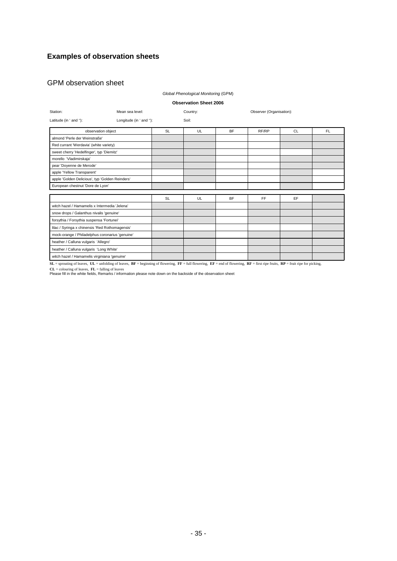## **Examples of observation sheets**

#### GPM observation sheet

#### *Global Phenological Monitoring* (GPM)

#### **Observation Sheet 2006**

| Station:                                        | Mean sea level:         |           | Country: |           | Observer (Organisation): |     |     |  |  |  |
|-------------------------------------------------|-------------------------|-----------|----------|-----------|--------------------------|-----|-----|--|--|--|
| Latitude (in ' and "):                          | Longitude (in ' and "): |           | Soil:    |           |                          |     |     |  |  |  |
|                                                 | observation object      | <b>SL</b> | UL       | <b>BF</b> | RF/RP                    | CL. | FL. |  |  |  |
| almond 'Perle der Weinstraße'                   |                         |           |          |           |                          |     |     |  |  |  |
| Red currant 'Werdavia' (white variety)          |                         |           |          |           |                          |     |     |  |  |  |
| sweet cherry 'Hedelfinger', typ 'Diemitz'       |                         |           |          |           |                          |     |     |  |  |  |
| morello 'Vladimirskaja'                         |                         |           |          |           |                          |     |     |  |  |  |
| pear 'Doyenne de Merode'                        |                         |           |          |           |                          |     |     |  |  |  |
| apple 'Yellow Transparent'                      |                         |           |          |           |                          |     |     |  |  |  |
| apple 'Golden Delicious', typ 'Golden Reinders' |                         |           |          |           |                          |     |     |  |  |  |
| European chestnut 'Dore de Lyon'                |                         |           |          |           |                          |     |     |  |  |  |
|                                                 |                         |           |          |           |                          |     |     |  |  |  |
|                                                 |                         | <b>SL</b> | UL       | <b>BF</b> | <b>FF</b>                | EF  |     |  |  |  |
| witch hazel / Hamamelis x Intermedia 'Jelena'   |                         |           |          |           |                          |     |     |  |  |  |
| snow drops / Galanthus nivalis 'genuine'        |                         |           |          |           |                          |     |     |  |  |  |
| forsythia / Forsythia suspensa 'Fortunei'       |                         |           |          |           |                          |     |     |  |  |  |
| lilac / Syringa x chinensis 'Red Rothomagensis' |                         |           |          |           |                          |     |     |  |  |  |
| mock-orange / Philadelphus coronarius 'genuine' |                         |           |          |           |                          |     |     |  |  |  |
| heather / Calluna vulgaris 'Allegro'            |                         |           |          |           |                          |     |     |  |  |  |
| heather / Calluna vulgaris 'Long White'         |                         |           |          |           |                          |     |     |  |  |  |
| witch hazel / Hamamelis virginiana 'genuine'    |                         |           |          |           |                          |     |     |  |  |  |

 $SL$  = sprouting of leaves,  $UL$  = unfolding of leaves,  $BF$  = beginning of flowering,  $FF$  = full flowering,  $EF$  = end of flowering,  $RF$  = first ripe fruits,  $RP$  = fruit ripe for picking,

**CL** = colouring of leaves, **FL** = falling of leaves Please fill in the white fields, Remarks / information please note down on the backside of the observation sheet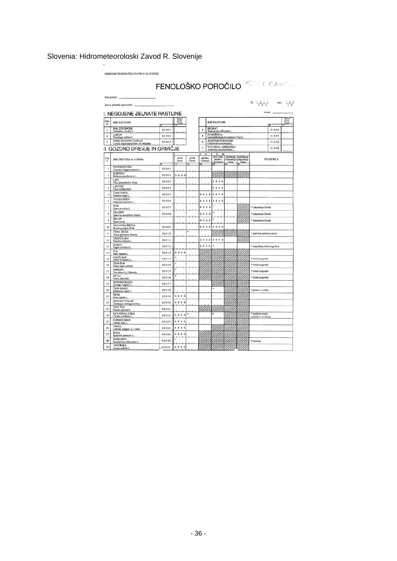## Slovenia: Hidrometeoroloski Zavod R. Slovenije

|                         | HIDROMETEOROLOŠKI ZAVOD R SLOVENIJE                                 |                |                 |                 |                          |                                              |                                                      |        |                                                               |                  |        |
|-------------------------|---------------------------------------------------------------------|----------------|-----------------|-----------------|--------------------------|----------------------------------------------|------------------------------------------------------|--------|---------------------------------------------------------------|------------------|--------|
|                         |                                                                     |                |                 |                 |                          |                                              |                                                      |        | FENOLOŠKO POROČILO STAL CARE                                  |                  |        |
|                         | lme postaje:                                                        |                |                 |                 |                          |                                              |                                                      |        |                                                               |                  |        |
|                         | Ime in priimek opazovalca:                                          |                |                 |                 |                          |                                              |                                                      |        | Sr. $\begin{array}{c c}\n\hline\n1 & 2 & 3\n\end{array}$ leto |                  |        |
|                         | I. NEGOJENE ZELNATE RASTLINE                                        |                |                 |                 |                          |                                              |                                                      |        |                                                               | mesec:           |        |
| Zap                     | <b>IME RASTLINE</b>                                                 |                | datum<br>prvih  |                 |                          | <b>IME RASTLINE</b>                          |                                                      |        |                                                               |                  | prich  |
| u.<br>$\mathbf{1}$      | <b>MALI ZVONČEK</b>                                                 | 01001          | cystov          |                 | $\ddot{\phantom{a}}$     | <b>REGRAT</b>                                |                                                      |        |                                                               | rx<br>01004      | cvetov |
| $\overline{\mathbf{a}}$ | Galanthus nivalis I.<br>LAPUH                                       | 01002          |                 |                 | 5                        | Taraxacum officinale I.<br><b>IVANJŠČICA</b> |                                                      |        |                                                               | 01005            |        |
| 3                       | Tussilago farfara L.<br>POMLADANSKI ŽAFRAN                          | 01003          |                 |                 | 6                        | <b>JESENSKI PODLESEK</b>                     | Leucanthemum ircutianum (Tucz)                       |        |                                                               | 01006            |        |
|                         | Crocus napolitanus hort. ex Mordant<br>II. GOZDNO DREVJE IN GRMICJE |                |                 |                 | 7                        | Colchicum avtomnale L<br>NAVADNA AMBROZIJA   |                                                      |        |                                                               | 01008            |        |
|                         |                                                                     |                |                 |                 | Б<br>A                   | Ambrosia artemisiifolia L<br>τ<br>N          |                                                      |        |                                                               |                  |        |
| Zap<br>Ł.               | <b>IME DREVESA ALI GRMA</b>                                         |                | prvih<br>listow | prvih<br>cyclov | splošno<br>cystenie<br>छ | prvi zreli<br>płodovi<br>(semena)            | splošnega splošnega<br>rumenenja odpadanja<br>listia | listia |                                                               | <b>POJASNILA</b> |        |
| ı                       | DIVJI KOSTANJ<br>Aesculus hippocastanum L.                          | 02001          |                 |                 |                          |                                              |                                                      |        |                                                               |                  |        |
| $\overline{a}$          | <b>ROBINIJA</b><br>Robinia pseudacacia L.                           | 02002          | 6666            |                 |                          |                                              |                                                      |        |                                                               |                  |        |
| $\overline{\mathbf{3}}$ | <b>LIPA</b><br>Tilia platyphyllos Scop.                             | 02003          |                 |                 |                          | 6666                                         |                                                      |        |                                                               |                  |        |
| 4                       | <b>LIPOVEC</b><br>Tilia cordata Mill.                               | 02004          |                 |                 |                          | 6666                                         |                                                      |        |                                                               |                  |        |
| 5                       | ČRNI TOPOL<br>Populus nigra L                                       | 02005          |                 |                 | 6666                     | 6666                                         |                                                      |        |                                                               |                  |        |
| 6                       | <b>VELIKI JESEN</b><br>Fraxinus excelsior L.                        | 02006          |                 |                 | 6666                     | 6666                                         |                                                      |        |                                                               |                  |        |
| $\overline{7}$          | DOB<br>Quercus robur L.                                             | 02007          |                 |                 | 6666                     |                                              |                                                      |        | * odpadanje želoda                                            |                  |        |
| $\bar{\mathbf{x}}$      | <b>GRADEN</b>                                                       | 02008          |                 |                 | 6666                     |                                              |                                                      |        | * odpadanje želoda                                            |                  |        |
| $\ddot{Q}$              | Quercus sessilifiora Salisb.<br>HRAST<br>Quercus sp.                |                |                 |                 | 6666                     |                                              |                                                      |        | * odpadanje želoda                                            |                  |        |
| 10                      | NAVADNA BREZA<br>Betula pendula Roth.                               | 02009          |                 |                 | 6666                     | 6666                                         |                                                      |        |                                                               |                  |        |
| $\mathbf{11}$           | ČRNA JELŠA<br>Almus glutinosa Gaertn.                               | 02010          |                 |                 |                          |                                              |                                                      |        | * pričetek prašenja mačic                                     |                  |        |
| 12                      | TREPETLIKA<br>Populus tremula L.                                    | 02011          |                 |                 | 6666                     | 6666                                         |                                                      |        |                                                               |                  |        |
| 13                      | <b>BUKEV</b>                                                        | 02012          |                 |                 | 6666                     | ٠                                            |                                                      |        | * odpadanje bukovega žira                                     |                  |        |
| 14                      | Fagus sylvatica L.<br><b>IVA</b>                                    | 02013          | 6666            |                 |                          |                                              |                                                      |        |                                                               |                  |        |
| 15                      | Salix caprea L<br>RDEČI BOR                                         | 02014          |                 |                 |                          |                                              |                                                      |        | * mladi poganjki                                              |                  |        |
| 16                      | Pinus sylvestris L.<br>ČRNI BOR                                     | 02029          |                 |                 |                          |                                              |                                                      |        | * mladi poganjki                                              |                  |        |
| 17                      | Pinus nigra Amold.<br><b>SMREKA</b>                                 | 02015          |                 |                 |                          |                                              |                                                      |        | · mladi poganjki                                              |                  |        |
| 18                      | Pice abies (L.) Karsten.<br><b>JELKA</b>                            | 02016          |                 |                 |                          |                                              |                                                      |        | * mladi poganjki                                              |                  |        |
| 19                      | Abies alba Mill.<br>ŠPANSKI BEZEG                                   | 02017          |                 |                 |                          |                                              |                                                      |        |                                                               |                  |        |
| 20                      | Syringa vulgaris L.<br><b>ČRNI BEZEG</b>                            | 02018          |                 |                 |                          |                                              |                                                      |        | · plodovi so črni                                             |                  |        |
| 21                      | Sambucus nigra L.<br><b>ŠIPEK</b>                                   | 02019          | 6666            |                 |                          |                                              |                                                      |        |                                                               |                  |        |
| 22                      | Rosa canina L<br>ENOVRATI GLOG                                      | 02020          | 6666            |                 |                          |                                              |                                                      |        |                                                               |                  |        |
| 23                      | Crataegus monogyna Jacq.<br>ČRNI TRN                                | 02021          |                 |                 |                          |                                              |                                                      |        |                                                               |                  |        |
| 24                      | Prunus spinosa L<br><b>NAVADNA LESKA</b><br>Corylus avellana L.     | 02022          | 6666            |                 |                          | o                                            |                                                      |        | * prašenje mačic                                              |                  |        |
| 25                      | <b>RUMENI DREN</b><br>Cornus mas L.                                 | 02023          | 6666            |                 |                          |                                              |                                                      |        | o plodovi so okusni                                           |                  |        |
|                         | <b>VRESA</b><br>Calluna vulgaris (L.) Hull.                         | 02024          | 6666            |                 |                          |                                              |                                                      |        |                                                               |                  |        |
| 26                      |                                                                     |                | 6666            |                 |                          |                                              |                                                      |        |                                                               |                  |        |
|                         | <b>ŽUKA</b>                                                         |                |                 |                 |                          |                                              |                                                      |        |                                                               |                  |        |
| 27<br>28                | Spartium junceum L<br><b>ROŽMARIN</b><br>Rosmaninus officinalis L.  | 02025<br>02030 |                 |                 |                          |                                              |                                                      |        | · brstenje                                                    |                  |        |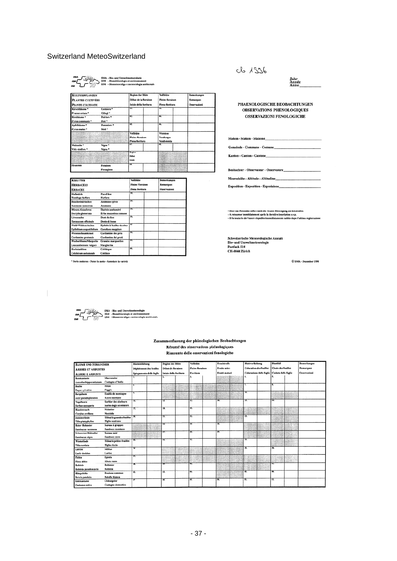#### Switzerland MeteoSwitzerland

SMA - Bio- und Umweltmeteorologie<br>ISM - Biométéorologie et environnes<br>ISM - Biometeoroliga e meteorologie  $\frac{\sin 2\theta}{\sin 2\theta}$ 

| <b>KULTURPFLANZEN</b>    |                        | <b>Beginn der Blüte</b> | <b>Vollblüte</b>        | Bemerkungen  |
|--------------------------|------------------------|-------------------------|-------------------------|--------------|
| PLANTES CULTIVÉES        |                        | Début de la floraison   | <b>Pleine floraison</b> | Remarques    |
| PIANTE COLTIVATE         |                        | Inizio della fioritura  | Piena fioritura         | Osservazioni |
| Kirschbäume <sup>*</sup> | Cerisiers <sup>*</sup> | ᇎ                       | 73.                     |              |
| Prunus avium *           | Ciliegi *              |                         |                         |              |
| Birnbäume *              | Poiriers <sup>*</sup>  | 63.                     | स्र                     |              |
| Pyrus communis *         | Peri*                  |                         |                         |              |
| Apfelbäume *             | Pommiers <sup>*</sup>  | $\overline{\mathbf{a}}$ | 66.                     |              |
| Pyrus malus *            | Meli *                 |                         |                         |              |
|                          |                        | <b>Vollblüte</b>        | Weinlese                |              |
|                          |                        | <b>Pleine floraison</b> | Vendanges               |              |
|                          |                        | Piena fioritura         | Vendemmia               |              |
| Weinrebe <sup>*</sup>    | Vigne <sup>*</sup>     | 47.                     | $\alpha$                |              |
| Vitis vinifera *         | Vigna *                |                         |                         |              |
| <b>LARGAINS</b>          | <b>COSTA</b>           | <b>Beginn</b>           |                         |              |
| <b>CARLO COLOR</b>       |                        | <b>Début</b>            |                         |              |
|                          |                        | Inizio                  |                         |              |
| Heuernte                 | Fenaison               | 69.                     |                         |              |
|                          | Fienagione             |                         |                         |              |

| <b>KRÄUTER</b>              |                             | Vollblüte               | Bemerkungen  |
|-----------------------------|-----------------------------|-------------------------|--------------|
| <b>HERBACÉES</b>            |                             | <b>Pleine Floraison</b> | Remarques    |
| <b>ERBACEE</b>              |                             | Piena fioritura         | Osservazioni |
| Huflattich                  | Pas-d'âne                   | π                       |              |
| Tussilago farfara           | Farfare                     |                         |              |
| <b>Buschwindröschen</b>     | Anémone sylvie              | ब्र                     |              |
| Anemone nemorosa            | Anemone                     |                         |              |
| Wiesen-Knaulgras            | Dactyle aggloméré           | 35.                     |              |
| Dactylis glomerata          | Erba mazzolina comune       |                         |              |
| Löwenzahn                   | Dent-de-lion                | उड                      |              |
| <b>Taraxacum</b> officinale | Dente di leone              |                         |              |
| Wald-Weidenröschen          | Epilobe à feuilles étroites | 57.                     |              |
| Epilobium angustifolium     | Garofano maggiore           |                         |              |
| Wiesenschaumkraut           | Cardamine des prés          | 茲                       |              |
| <b>Cardamine</b> pratensis  | Cardamina dei prati         |                         |              |
| Wucherblume/Margerite       | <b>Grandes</b> marguerites  | 荻                       |              |
| Leucanthemum vulgare        | Margherita                  |                         |              |
| Herbstzeitlose              | Colchique                   | 40.                     |              |
| Colchicum autumnale         | Colchico                    |                         |              |

\* Sorte notieren - Noter la sorte - Annotare la varietà

#### 26 1926

Jahr<br>Année<br>Anno PHAENOLOGISCHE BEOBACHTUNGEN OBSERVATIONS PHÉNOLOGIQUES **OSSERVAZIONI FENOLOGICHE** Station - Station - Stazione\_

Gemeinde - Commune - Comune

Kanton - Canton - Cantone\_\_\_\_

Beobachter - Observateur - Osservatore

Meereshöhe - Altitude - Altitudine\_\_\_\_\_\_\_\_\_ 

- Bitte das Formular sofort nach der letzten Eintragung zurücksenden:<br>- A retourner immédiatement après la dernière inscription s.v.p.<br>- Il formulario dev'essere rispedito immediatamente subito dopo l'ultima registrazione

Schweizerische Meteorologische Anstalt<br>Bio- und Umweltmeteorologie<br>Postfach 514<br>CH-8044 Zürich

C SMA - Dezember 1998

|  | $\begin{picture}(120,110) \put(0,0){\line(1,0){10}} \put(15,0){\line(1,0){10}} \put(15,0){\line(1,0){10}} \put(15,0){\line(1,0){10}} \put(15,0){\line(1,0){10}} \put(15,0){\line(1,0){10}} \put(15,0){\line(1,0){10}} \put(15,0){\line(1,0){10}} \put(15,0){\line(1,0){10}} \put(15,0){\line(1,0){10}} \put(15,0){\line(1,0){10}} \put(15,0){\line$<br>ISM - Biometeoroliga e meteorologia ambientale |  |
|--|-------------------------------------------------------------------------------------------------------------------------------------------------------------------------------------------------------------------------------------------------------------------------------------------------------------------------------------------------------------------------------------------------------|--|
|--|-------------------------------------------------------------------------------------------------------------------------------------------------------------------------------------------------------------------------------------------------------------------------------------------------------------------------------------------------------------------------------------------------------|--|

#### Zusammenfassung der phänologischen Beobachtungen Résumé des observations phénologiques Riassunto delle osservazioni fenologiche

|                            |                                   |                          |                          |                         |                    | Vollblüte               |                         | Fruchtreife       |                    | <b>Blattverfärbung</b> |                                | <b>Blattfall</b>    |                           | <b>Bemerkungen</b> |
|----------------------------|-----------------------------------|--------------------------|--------------------------|-------------------------|--------------------|-------------------------|-------------------------|-------------------|--------------------|------------------------|--------------------------------|---------------------|---------------------------|--------------------|
| <b>BÂUME UND STRÄUCHER</b> |                                   | <b>Blattentfaltung</b>   |                          | <b>Beginn der Blüte</b> |                    |                         |                         |                   |                    |                        |                                |                     |                           |                    |
| <b>ARBRES ET ARBUSTES</b>  |                                   |                          | Déploiement des feuilles |                         | Début de floraison |                         | <b>Pleine floraison</b> |                   | <b>Fruits mûrs</b> |                        | <b>Coloration des feuilles</b> |                     | <b>Chute des feuilles</b> | Remarques          |
| <b>ALBERI E ARBUSTI</b>    |                                   | Spiegamento delle foglie |                          | Inizio della fioritura  |                    | Fioritura               |                         | Frutti maturi     |                    |                        | Colorazione delle foglie       | Caduta delle foglie |                           | Osservazioni       |
| Rosskastanie               | Marronnier                        |                          |                          |                         |                    | ۰.                      |                         |                   |                    |                        |                                |                     |                           |                    |
| Aesculus hippocastanum     | Castagno d'India                  |                          |                          |                         |                    |                         |                         |                   |                    |                        |                                |                     |                           |                    |
| <b>Buche</b>               | Hêtre                             | τ                        |                          |                         |                    |                         |                         |                   |                    |                        |                                | x                   |                           |                    |
| <b>Fagus</b> sylvatica     | Faggio                            |                          |                          |                         |                    |                         |                         |                   |                    |                        |                                |                     |                           |                    |
| Bergahorn                  | Erable de montagne                | Ŧ.                       |                          |                         |                    |                         |                         |                   |                    | Tā.                    |                                |                     |                           |                    |
| Acer pseudoplatanus        | Acero montano                     |                          |                          |                         |                    |                         |                         |                   |                    |                        |                                |                     |                           |                    |
| Vogelbeere                 | Sorbier des oiseleurs             | π.                       |                          | 12                      |                    | π                       |                         | 14.               |                    | π                      |                                | 16.                 |                           |                    |
| Sorbus aucuparia           | Sorbo degli uccellatori           |                          |                          |                         |                    |                         |                         |                   |                    |                        |                                |                     |                           |                    |
| Haselstrauch               | <b>Noisetier</b>                  | 17.                      |                          | 18.                     |                    | 19.                     |                         |                   |                    |                        |                                |                     |                           |                    |
| Corylus avellana           | Nocciolo                          |                          |                          |                         |                    |                         |                         |                   |                    |                        |                                |                     |                           |                    |
| Sommerlinde                | Tilleul à grandes feuilles        | 30.                      |                          | т                       |                    | $\overline{22}$         |                         |                   |                    | п                      |                                |                     |                           |                    |
| Tilia platyphyllos         | Tiglio nostrano                   |                          |                          |                         |                    |                         |                         |                   |                    |                        |                                |                     |                           |                    |
| <b>Roter Holunder</b>      | Sureau à grappes                  |                          |                          | 24.                     |                    | 35.                     |                         | ж                 |                    |                        |                                |                     |                           |                    |
| Sambucus racemosa          | Sambuco montano                   |                          |                          |                         |                    |                         |                         |                   |                    |                        |                                |                     |                           |                    |
| <b>Schwarzer Holunder</b>  | Sureau noir                       |                          |                          | 27.                     |                    | $\overline{\mathbf{x}}$ |                         | $\overline{29}$ . |                    |                        |                                |                     |                           |                    |
| Sambucus nigra             | Sambuco nero                      |                          |                          |                         |                    | $\overline{32}$         |                         |                   |                    | π                      |                                |                     |                           |                    |
| Winterlinde                | <b>Tilleul à petites feuilles</b> | w.                       |                          | π                       |                    |                         |                         |                   |                    |                        |                                |                     |                           |                    |
| Tilia cordata              | <b>Tiglio riccio</b>              |                          |                          |                         |                    |                         |                         |                   |                    | ĸ                      |                                | K.                  |                           |                    |
| Lärche                     | Mélèze                            | ≖                        |                          |                         |                    |                         |                         |                   |                    |                        |                                |                     |                           |                    |
| Larix decidua              | Larice                            |                          |                          |                         |                    |                         |                         |                   |                    |                        |                                |                     |                           |                    |
| Fichte                     | Epicéa                            | 37.                      |                          |                         |                    |                         |                         |                   |                    |                        |                                |                     |                           |                    |
| Picea abies                | Abete rosso                       |                          |                          |                         |                    |                         |                         |                   |                    |                        |                                | 41.                 |                           |                    |
| Robinie                    | <b>Robinier</b>                   | ≖                        |                          | w                       |                    | 46.                     |                         |                   |                    |                        |                                |                     |                           |                    |
| Robinia pseudoacacia       | Robinia                           |                          |                          |                         |                    |                         |                         |                   |                    |                        |                                |                     |                           |                    |
| Hängebirke                 | <b>Bouleau</b> commun             | $\overline{42}$          |                          | $\overline{41}$         |                    | $\overline{44}$         |                         |                   |                    | 45.                    |                                | 46.                 |                           |                    |
| <b>Betula pendula</b>      | Betulla bianca                    |                          |                          |                         |                    |                         |                         |                   |                    |                        |                                |                     |                           |                    |
| Edelkastanie               | Châtaignier                       | ৰা                       |                          | 48.                     |                    | 49.                     |                         | 30.               |                    | 31.                    |                                | 52.                 |                           |                    |
| Castanea sativa            | Castagno domestico                |                          |                          |                         |                    |                         |                         |                   |                    |                        |                                |                     |                           |                    |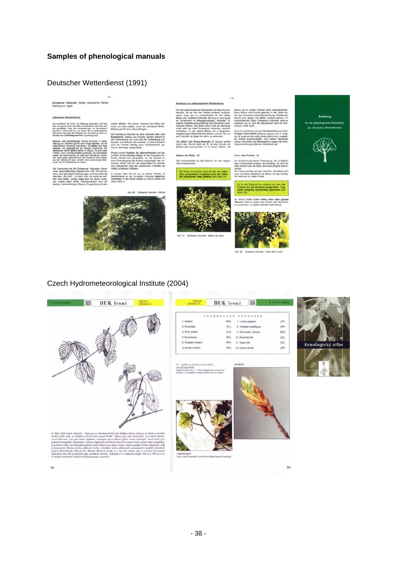## Deutscher Wetterdienst (1991)

Schwarzer Holunder, Holler, Deuts<br>Sambucus nigra



#### te (F)

 $-74$ 



## Czech Hydrometeorological Institute (2004)